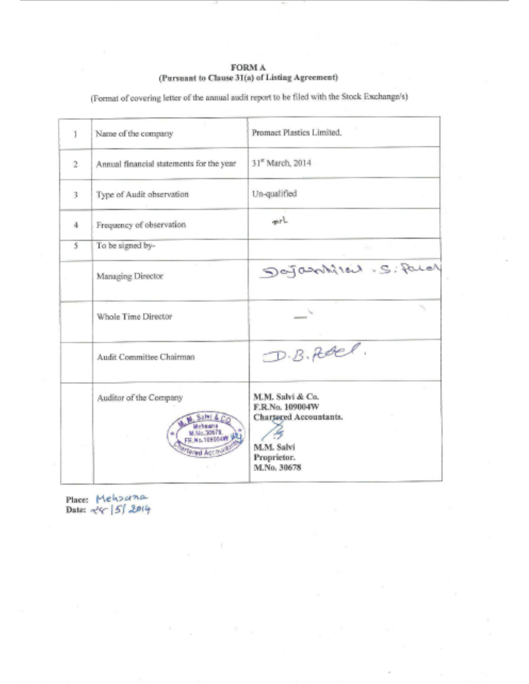# FORM A (Pursuant to Clause 31(a) of Listing Agreement)

(Format of covering letter of the annual audit report to be filed with the Stock Exchange's)

| $\mathbb{I}$              | Name of the company                      | Promact Plastics Limited.                                                                                 |
|---------------------------|------------------------------------------|-----------------------------------------------------------------------------------------------------------|
| $\bar{2}$                 | Annual financial statements for the year | 31" March, 2014                                                                                           |
| $\overline{\mathfrak{z}}$ | Type of Audit observation                | Un-qualified                                                                                              |
| 4                         | Frequency of observation                 | mrl                                                                                                       |
| \$                        | To be signed by-                         |                                                                                                           |
|                           | Managing Director                        | Datamilian . S. Paral                                                                                     |
|                           | Whole Time Director                      |                                                                                                           |
|                           | Audit Committee Chairman                 | D.B.Reel.                                                                                                 |
|                           | Auditor of the Company                   | M.M. Salvi & Co.<br>F.R.No. 109004W<br>Chartered Accountants.<br>M.M. Salvi<br>Proprietor.<br>MLNo, 30678 |

Places Mehourna<br>Dates n/4 | 5 | 2014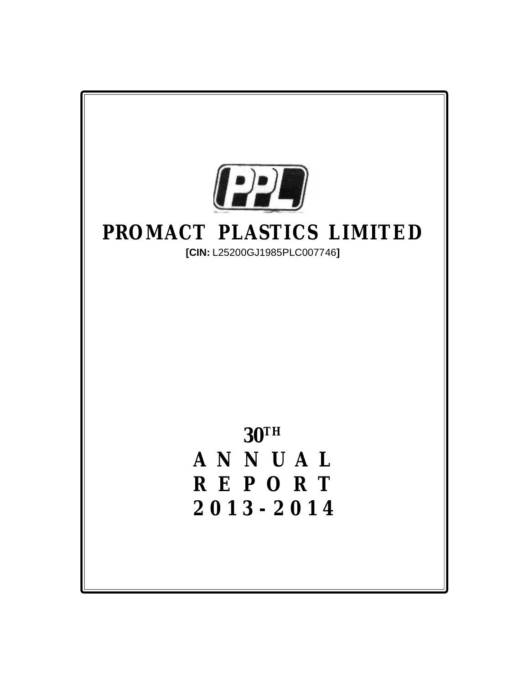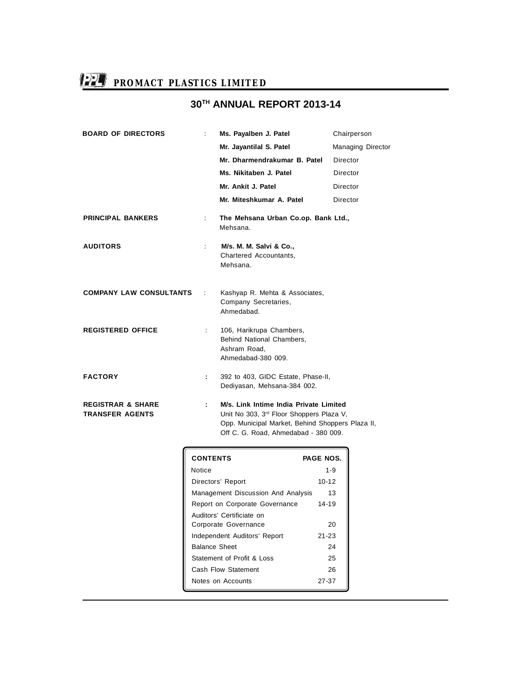# **TH 30 ANNUAL REPORT 2013-14**

| <b>BOARD OF DIRECTORS</b>                              | ÷                    | Ms. Payalben J. Patel                                                                                                                                                          |           | Chairperson       |
|--------------------------------------------------------|----------------------|--------------------------------------------------------------------------------------------------------------------------------------------------------------------------------|-----------|-------------------|
|                                                        |                      | Mr. Jayantilal S. Patel                                                                                                                                                        |           | Managing Director |
|                                                        |                      | Mr. Dharmendrakumar B. Patel                                                                                                                                                   | Director  |                   |
|                                                        |                      | Ms. Nikitaben J. Patel                                                                                                                                                         | Director  |                   |
|                                                        |                      | Mr. Ankit J. Patel                                                                                                                                                             | Director  |                   |
|                                                        |                      | Mr. Miteshkumar A. Patel                                                                                                                                                       | Director  |                   |
| <b>PRINCIPAL BANKERS</b>                               | ÷                    | The Mehsana Urban Co.op. Bank Ltd.,<br>Mehsana.                                                                                                                                |           |                   |
| <b>AUDITORS</b>                                        | ÷                    | M/s. M. M. Salvi & Co.,<br>Chartered Accountants,<br>Mehsana.                                                                                                                  |           |                   |
| <b>COMPANY LAW CONSULTANTS</b>                         | ÷                    | Kashyap R. Mehta & Associates,<br>Company Secretaries,<br>Ahmedabad.                                                                                                           |           |                   |
| <b>REGISTERED OFFICE</b>                               | ÷                    | 106, Harikrupa Chambers,<br>Behind National Chambers,<br>Ashram Road,<br>Ahmedabad-380 009.                                                                                    |           |                   |
| <b>FACTORY</b>                                         | ÷                    | 392 to 403, GIDC Estate, Phase-II,<br>Dediyasan, Mehsana-384 002.                                                                                                              |           |                   |
| <b>REGISTRAR &amp; SHARE</b><br><b>TRANSFER AGENTS</b> | ÷                    | M/s. Link Intime India Private Limited<br>Unit No 303, 3rd Floor Shoppers Plaza V,<br>Opp. Municipal Market, Behind Shoppers Plaza II,<br>Off C. G. Road, Ahmedabad - 380 009. |           |                   |
|                                                        | <b>CONTENTS</b>      |                                                                                                                                                                                | PAGE NOS. |                   |
|                                                        | Notice               |                                                                                                                                                                                | $1 - 9$   |                   |
|                                                        |                      | Directors' Report                                                                                                                                                              | $10 - 12$ |                   |
|                                                        |                      | Management Discussion And Analysis                                                                                                                                             | 13        |                   |
|                                                        |                      | Report on Corporate Governance                                                                                                                                                 | 14-19     |                   |
|                                                        |                      | Auditors' Certificiate on<br>Corporate Governance                                                                                                                              | 20        |                   |
|                                                        |                      | Independent Auditors' Report                                                                                                                                                   | $21 - 23$ |                   |
|                                                        | <b>Balance Sheet</b> |                                                                                                                                                                                | 24        |                   |
|                                                        |                      | Statement of Profit & Loss                                                                                                                                                     | 25        |                   |
|                                                        |                      | Cash Flow Statement                                                                                                                                                            | 26        |                   |

Notes on Accounts 27-37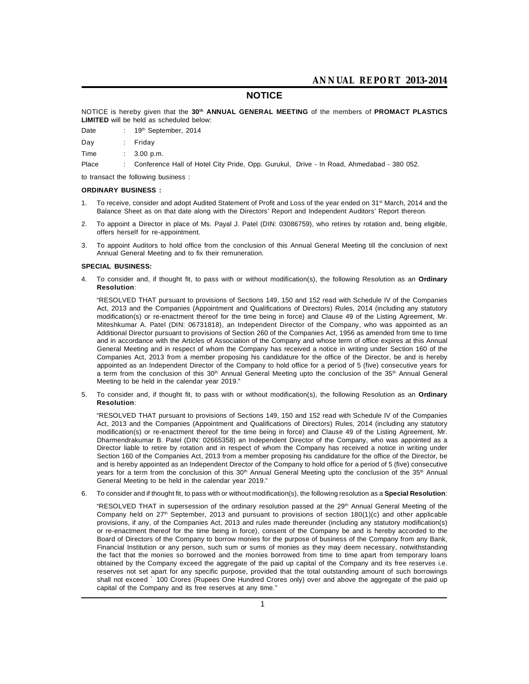# **NOTICE**

NO **th** TICE is hereby given that the **30 ANNUAL GENERAL MEETING** of the members of **PROMACT PLASTICS LIMITED** will be held as scheduled below:

Date : :  $19<sup>th</sup>$  September, 2014

Day : Friday

Time : 3.00 p.m.

Place : Conference Hall of Hotel City Pride, Opp. Gurukul, Drive - In Road, Ahmedabad - 380 052.

to transact the following business :

### **ORDINARY BUSINESS :**

- 1. To receive, consider and adopt Audited Statement of Profit and Loss of the year ended on 31<sup>st</sup> March, 2014 and the Balance Sheet as on that date along with the Directors' Report and Independent Auditors' Report thereon.
- 2. To appoint a Director in place of Ms. Payal J. Patel (DIN: 03086759), who retires by rotation and, being eligible, offers herself for re-appointment.
- 3. To appoint Auditors to hold office from the conclusion of this Annual General Meeting till the conclusion of next Annual General Meeting and to fix their remuneration.

### **SPECIAL BUSINESS:**

4. To consider and, if thought fit, to pass with or without modification(s), the following Resolution as an **Ordinary Resolution**:

"RESOLVED THAT pursuant to provisions of Sections 149, 150 and 152 read with Schedule IV of the Companies Act, 2013 and the Companies (Appointment and Qualifications of Directors) Rules, 2014 (including any statutory modification(s) or re-enactment thereof for the time being in force) and Clause 49 of the Listing Agreement, Mr. Miteshkumar A. Patel (DIN: 06731818), an Independent Director of the Company, who was appointed as an Additional Director pursuant to provisions of Section 260 of the Companies Act, 1956 as amended from time to time and in accordance with the Articles of Association of the Company and whose term of office expires at this Annual General Meeting and in respect of whom the Company has received a notice in writing under Section 160 of the Companies Act, 2013 from a member proposing his candidature for the office of the Director, be and is hereby appointed as an Independent Director of the Company to hold office for a period of 5 (five) consecutive years for a term from the conclusion of this  $30<sup>th</sup>$  Annual General Meeting upto the conclusion of the  $35<sup>th</sup>$  Annual General Meeting to be held in the calendar year 2019."

5. To consider and, if thought fit, to pass with or without modification(s), the following Resolution as an **Ordinary Resolution**:

"RESOLVED THAT pursuant to provisions of Sections 149, 150 and 152 read with Schedule IV of the Companies Act, 2013 and the Companies (Appointment and Qualifications of Directors) Rules, 2014 (including any statutory modification(s) or re-enactment thereof for the time being in force) and Clause 49 of the Listing Agreement, Mr. Dharmendrakumar B. Patel (DIN: 02665358) an Independent Director of the Company, who was appointed as a Director liable to retire by rotation and in respect of whom the Company has received a notice in writing under Section 160 of the Companies Act, 2013 from a member proposing his candidature for the office of the Director, be and is hereby appointed as an Independent Director of the Company to hold office for a period of 5 (five) consecutive years for a term from the conclusion of this 30<sup>th</sup> Annual General Meeting upto the conclusion of the 35<sup>th</sup> Annual General Meeting to be held in the calendar year 2019."

6. To consider and if thought fit, to pass with or without modification(s), the following resolution as a **Special Resolution**:

"RESOLVED THAT in supersession of the ordinary resolution passed at the 29<sup>th</sup> Annual General Meeting of the Company held on  $27<sup>th</sup>$  September, 2013 and pursuant to provisions of section 180(1)(c) and other applicable provisions, if any, of the Companies Act, 2013 and rules made thereunder (including any statutory modification(s) or re-enactment thereof for the time being in force), consent of the Company be and is hereby accorded to the Board of Directors of the Company to borrow monies for the purpose of business of the Company from any Bank, Financial Institution or any person, such sum or sums of monies as they may deem necessary, notwithstanding the fact that the monies so borrowed and the monies borrowed from time to time apart from temporary loans obtained by the Company exceed the aggregate of the paid up capital of the Company and its free reserves i.e. reserves not set apart for any specific purpose, provided that the total outstanding amount of such borrowings shall not exceed ` 100 Crores (Rupees One Hundred Crores only) over and above the aggregate of the paid up capital of the Company and its free reserves at any time."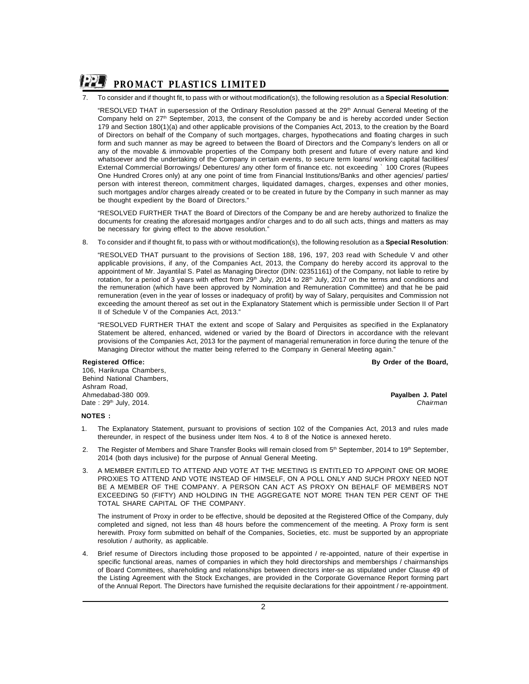

7. To consider and if thought fit, to pass with or without modification(s), the following resolution as a **Special Resolution**:

"RESOLVED THAT in supersession of the Ordinary Resolution passed at the 29th Annual General Meeting of the Company held on  $27<sup>th</sup>$  September, 2013, the consent of the Company be and is hereby accorded under Section 179 and Section 180(1)(a) and other applicable provisions of the Companies Act, 2013, to the creation by the Board of Directors on behalf of the Company of such mortgages, charges, hypothecations and floating charges in such form and such manner as may be agreed to between the Board of Directors and the Company's lenders on all or any of the movable & immovable properties of the Company both present and future of every nature and kind whatsoever and the undertaking of the Company in certain events, to secure term loans/ working capital facilities/ External Commercial Borrowings/ Debentures/ any other form of finance etc. not exceeding ` 100 Crores (Rupees One Hundred Crores only) at any one point of time from Financial Institutions/Banks and other agencies/ parties/ person with interest thereon, commitment charges, liquidated damages, charges, expenses and other monies, such mortgages and/or charges already created or to be created in future by the Company in such manner as may be thought expedient by the Board of Directors."

"RESOLVED FURTHER THAT the Board of Directors of the Company be and are hereby authorized to finalize the documents for creating the aforesaid mortgages and/or charges and to do all such acts, things and matters as may be necessary for giving effect to the above resolution."

8. To consider and if thought fit, to pass with or without modification(s), the following resolution as a **Special Resolution**:

"RESOLVED THAT pursuant to the provisions of Section 188, 196, 197, 203 read with Schedule V and other applicable provisions, if any, of the Companies Act, 2013, the Company do hereby accord its approval to the appointment of Mr. Jayantilal S. Patel as Managing Director (DIN: 02351161) of the Company, not liable to retire by rotation, for a period of 3 years with effect from 29<sup>th</sup> July, 2014 to 28<sup>th</sup> July, 2017 on the terms and conditions and the remuneration (which have been approved by Nomination and Remuneration Committee) and that he be paid remuneration (even in the year of losses or inadequacy of profit) by way of Salary, perquisites and Commission not exceeding the amount thereof as set out in the Explanatory Statement which is permissible under Section II of Part II of Schedule V of the Companies Act, 2013."

"RESOLVED FURTHER THAT the extent and scope of Salary and Perquisites as specified in the Explanatory Statement be altered, enhanced, widened or varied by the Board of Directors in accordance with the relevant provisions of the Companies Act, 2013 for the payment of managerial remuneration in force during the tenure of the Managing Director without the matter being referred to the Company in General Meeting again."

**Registered Office: By Order of the Board,**

106, Harikrupa Chambers, Behind National Chambers, Ashram Road, Ahmedabad-380 009. **Payalben J. Patel** Date : 29<sup>th</sup> July, 2014. Chairman between the state of the state of the state of the state of the state of the state of the state of the state of the state of the state of the state of the state of the state of the state

### **NOTES :**

- 1. The Explanatory Statement, pursuant to provisions of section 102 of the Companies Act, 2013 and rules made thereunder, in respect of the business under Item Nos. 4 to 8 of the Notice is annexed hereto.
- 2. The Register of Members and Share Transfer Books will remain closed from 5<sup>th</sup> September, 2014 to 19<sup>th</sup> September, 2014 (both days inclusive) for the purpose of Annual General Meeting.
- 3. A MEMBER ENTITLED TO ATTEND AND VOTE AT THE MEETING IS ENTITLED TO APPOINT ONE OR MORE PROXIES TO ATTEND AND VOTE INSTEAD OF HIMSELF, ON A POLL ONLY AND SUCH PROXY NEED NOT BE A MEMBER OF THE COMPANY. A PERSON CAN ACT AS PROXY ON BEHALF OF MEMBERS NOT EXCEEDING 50 (FIFTY) AND HOLDING IN THE AGGREGATE NOT MORE THAN TEN PER CENT OF THE TOTAL SHARE CAPITAL OF THE COMPANY.

The instrument of Proxy in order to be effective, should be deposited at the Registered Office of the Company, duly completed and signed, not less than 48 hours before the commencement of the meeting. A Proxy form is sent herewith. Proxy form submitted on behalf of the Companies, Societies, etc. must be supported by an appropriate resolution / authority, as applicable.

4. Brief resume of Directors including those proposed to be appointed / re-appointed, nature of their expertise in specific functional areas, names of companies in which they hold directorships and memberships / chairmanships of Board Committees, shareholding and relationships between directors inter-se as stipulated under Clause 49 of the Listing Agreement with the Stock Exchanges, are provided in the Corporate Governance Report forming part of the Annual Report. The Directors have furnished the requisite declarations for their appointment / re-appointment.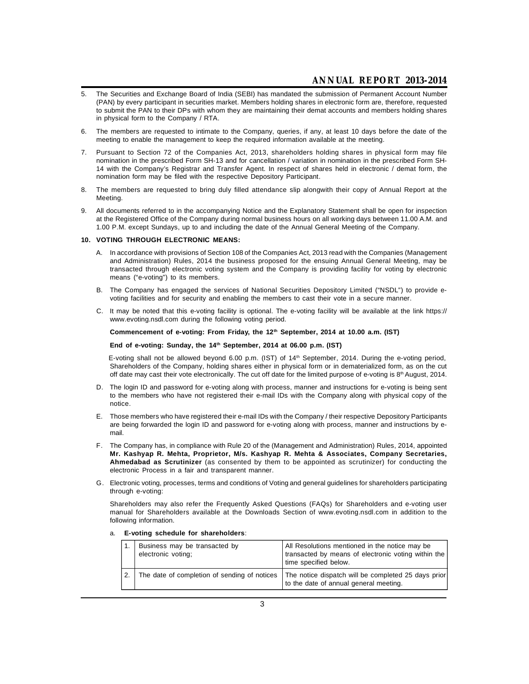- 5. The Securities and Exchange Board of India (SEBI) has mandated the submission of Permanent Account Number (PAN) by every participant in securities market. Members holding shares in electronic form are, therefore, requested to submit the PAN to their DPs with whom they are maintaining their demat accounts and members holding shares in physical form to the Company / RTA.
- 6. The members are requested to intimate to the Company, queries, if any, at least 10 days before the date of the meeting to enable the management to keep the required information available at the meeting.
- 7. Pursuant to Section 72 of the Companies Act, 2013, shareholders holding shares in physical form may file nomination in the prescribed Form SH-13 and for cancellation / variation in nomination in the prescribed Form SH-14 with the Company's Registrar and Transfer Agent. In respect of shares held in electronic / demat form, the nomination form may be filed with the respective Depository Participant.
- 8. The members are requested to bring duly filled attendance slip alongwith their copy of Annual Report at the Meeting.
- 9. All documents referred to in the accompanying Notice and the Explanatory Statement shall be open for inspection at the Registered Office of the Company during normal business hours on all working days between 11.00 A.M. and 1.00 P.M. except Sundays, up to and including the date of the Annual General Meeting of the Company.

### **10. VOTING THROUGH ELECTRONIC MEANS:**

- A. In accordance with provisions of Section 108 of the Companies Act, 2013 read with the Companies (Management and Administration) Rules, 2014 the business proposed for the ensuing Annual General Meeting, may be transacted through electronic voting system and the Company is providing facility for voting by electronic means ("e-voting") to its members.
- B. The Company has engaged the services of National Securities Depository Limited ("NSDL") to provide evoting facilities and for security and enabling the members to cast their vote in a secure manner.
- C. It may be noted that this e-voting facility is optional. The e-voting facility will be available at the link https:// www.evoting.nsdl.com during the following voting period.

### **Comm th encement of e-voting: From Friday, the 12 September, 2014 at 10.00 a.m. (IST)**

### **th End of e-voting: Sunday, the 14 September, 2014 at 06.00 p.m. (IST)**

E-voting shall not be allowed beyond 6.00 p.m. (IST) of  $14<sup>th</sup>$  September, 2014. During the e-voting period, Shareholders of the Company, holding shares either in physical form or in dematerialized form, as on the cut off date may cast their vote electronically. The cut off date for the limited purpose of e-voting is 8<sup>th</sup> August, 2014.

- D. The login ID and password for e-voting along with process, manner and instructions for e-voting is being sent to the members who have not registered their e-mail IDs with the Company along with physical copy of the notice.
- E. Those members who have registered their e-mail IDs with the Company / their respective Depository Participants are being forwarded the login ID and password for e-voting along with process, manner and instructions by email.
- F. The Company has, in compliance with Rule 20 of the (Management and Administration) Rules, 2014, appointed **Mr. Kashyap R. Mehta, Proprietor, M/s. Kashyap R. Mehta & Associates, Company Secretaries, Ahmedabad as Scrutinizer** (as consented by them to be appointed as scrutinizer) for conducting the electronic Process in a fair and transparent manner.
- G. Electronic voting, processes, terms and conditions of Voting and general guidelines for shareholders participating through e-voting:

Shareholders may also refer the Frequently Asked Questions (FAQs) for Shareholders and e-voting user manual for Shareholders available at the Downloads Section of www.evoting.nsdl.com in addition to the following information.

a. **E-voting schedule for shareholders**:

| Business may be transacted by<br>electronic voting; | All Resolutions mentioned in the notice may be<br>transacted by means of electronic voting within the<br>time specified below. |
|-----------------------------------------------------|--------------------------------------------------------------------------------------------------------------------------------|
| The date of completion of sending of notices        | The notice dispatch will be completed 25 days prior<br>to the date of annual general meeting.                                  |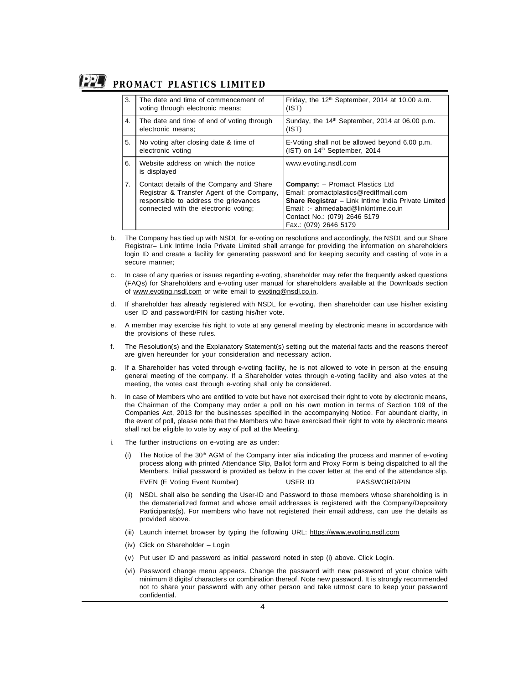| 3. | The date and time of commencement of<br>voting through electronic means;                                                                                                 | Friday, the 12 <sup>th</sup> September, 2014 at 10.00 a.m.<br>(IST)                                                                                                                                                                            |
|----|--------------------------------------------------------------------------------------------------------------------------------------------------------------------------|------------------------------------------------------------------------------------------------------------------------------------------------------------------------------------------------------------------------------------------------|
| 4. | The date and time of end of voting through<br>electronic means:                                                                                                          | Sunday, the $14th$ September, 2014 at 06.00 p.m.<br>(IST)                                                                                                                                                                                      |
| 5. | No voting after closing date & time of<br>electronic voting                                                                                                              | E-Voting shall not be allowed beyond 6.00 p.m.<br>(IST) on 14 <sup>th</sup> September, 2014                                                                                                                                                    |
| 6. | Website address on which the notice<br>is displayed                                                                                                                      | www.evoting.nsdl.com                                                                                                                                                                                                                           |
| 7. | Contact details of the Company and Share<br>Registrar & Transfer Agent of the Company,<br>responsible to address the grievances<br>connected with the electronic voting; | <b>Company:</b> - Promact Plastics Ltd<br>Email: promactplastics@rediffmail.com<br><b>Share Registrar</b> - Link Intime India Private Limited<br>Email: :- ahmedabad@linkintime.co.in<br>Contact No.: (079) 2646 5179<br>Fax.: (079) 2646 5179 |

- b. The Company has tied up with NSDL for e-voting on resolutions and accordingly, the NSDL and our Share Registrar– Link Intime India Private Limited shall arrange for providing the information on shareholders login ID and create a facility for generating password and for keeping security and casting of vote in a secure manner;
- c. In case of any queries or issues regarding e-voting, shareholder may refer the frequently asked questions (FAQs) for Shareholders and e-voting user manual for shareholders available at the Downloads section of www.evoting.nsdl.com or write email to evoting@nsdl.co.in.
- d. If shareholder has already registered with NSDL for e-voting, then shareholder can use his/her existing user ID and password/PIN for casting his/her vote.
- e. A member may exercise his right to vote at any general meeting by electronic means in accordance with the provisions of these rules.
- f. The Resolution(s) and the Explanatory Statement(s) setting out the material facts and the reasons thereof are given hereunder for your consideration and necessary action.
- g. If a Shareholder has voted through e-voting facility, he is not allowed to vote in person at the ensuing general meeting of the company. If a Shareholder votes through e-voting facility and also votes at the meeting, the votes cast through e-voting shall only be considered.
- h. In case of Members who are entitled to vote but have not exercised their right to vote by electronic means, the Chairman of the Company may order a poll on his own motion in terms of Section 109 of the Companies Act, 2013 for the businesses specified in the accompanying Notice. For abundant clarity, in the event of poll, please note that the Members who have exercised their right to vote by electronic means shall not be eligible to vote by way of poll at the Meeting.
- i. The further instructions on e-voting are as under:
	- (i) The Notice of the 30<sup>th</sup> AGM of the Company inter alia indicating the process and manner of e-voting process along with printed Attendance Slip, Ballot form and Proxy Form is being dispatched to all the Members. Initial password is provided as below in the cover letter at the end of the attendance slip. EVEN (E Voting Event Number) USER ID PASSWORD/PIN
	- (ii) NSDL shall also be sending the User-ID and Password to those members whose shareholding is in the dematerialized format and whose email addresses is registered with the Company/Depository Participants(s). For members who have not registered their email address, can use the details as provided above.
	- (iii) Launch internet browser by typing the following URL: https://www.evoting.nsdl.com
	- (iv) Click on Shareholder Login
	- (v) Put user ID and password as initial password noted in step (i) above. Click Login.
	- (vi) Password change menu appears. Change the password with new password of your choice with minimum 8 digits/ characters or combination thereof. Note new password. It is strongly recommended not to share your password with any other person and take utmost care to keep your password confidential.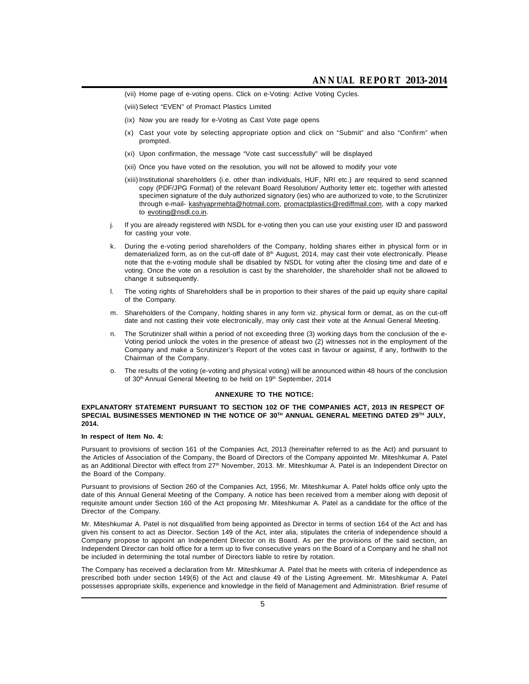- (vii) Home page of e-voting opens. Click on e-Voting: Active Voting Cycles.
- (viii) Select "EVEN" of Promact Plastics Limited
- (ix) Now you are ready for e-Voting as Cast Vote page opens
- (x) Cast your vote by selecting appropriate option and click on "Submit" and also "Confirm" when prompted.
- (xi) Upon confirmation, the message "Vote cast successfully" will be displayed
- (xii) Once you have voted on the resolution, you will not be allowed to modify your vote
- (xiii) Institutional shareholders (i.e. other than individuals, HUF, NRI etc.) are required to send scanned copy (PDF/JPG Format) of the relevant Board Resolution/ Authority letter etc. together with attested specimen signature of the duly authorized signatory (ies) who are authorized to vote, to the Scrutinizer through e-mail- kashyaprmehta@hotmail.com, promactplastics@rediffmail.com, with a copy marked to evoting@nsdl.co.in.
- j. If you are already registered with NSDL for e-voting then you can use your existing user ID and password for casting your vote.
- k. During the e-voting period shareholders of the Company, holding shares either in physical form or in dematerialized form, as on the cut-off date of 8<sup>th</sup> August, 2014, may cast their vote electronically. Please note that the e-voting module shall be disabled by NSDL for voting after the closing time and date of e voting. Once the vote on a resolution is cast by the shareholder, the shareholder shall not be allowed to change it subsequently.
- l. The voting rights of Shareholders shall be in proportion to their shares of the paid up equity share capital of the Company.
- m. Shareholders of the Company, holding shares in any form viz. physical form or demat, as on the cut-off date and not casting their vote electronically, may only cast their vote at the Annual General Meeting.
- n. The Scrutinizer shall within a period of not exceeding three (3) working days from the conclusion of the e-Voting period unlock the votes in the presence of atleast two (2) witnesses not in the employment of the Company and make a Scrutinizer's Report of the votes cast in favour or against, if any, forthwith to the Chairman of the Company.
- The results of the voting (e-voting and physical voting) will be announced within 48 hours of the conclusion of 30<sup>th</sup> Annual General Meeting to be held on 19<sup>th</sup> September, 2014

### **ANNEXURE TO THE NOTICE:**

### **EXPLANATORY STATEMENT PURSUANT TO SECTION 102 OF THE COMPANIES ACT, 2013 IN RESPECT OF TH TH SPECIAL BUSINESSES MENTIONED IN THE NOTICE OF 30 ANNUAL GENERAL MEETING DATED 29 JULY, 2014.**

### **In respect of Item No. 4:**

Pursuant to provisions of section 161 of the Companies Act, 2013 (hereinafter referred to as the Act) and pursuant to the Articles of Association of the Company, the Board of Directors of the Company appointed Mr. Miteshkumar A. Patel as an Additional Director with effect from 27<sup>th</sup> November, 2013. Mr. Miteshkumar A. Patel is an Independent Director on the Board of the Company.

Pursuant to provisions of Section 260 of the Companies Act, 1956, Mr. Miteshkumar A. Patel holds office only upto the date of this Annual General Meeting of the Company. A notice has been received from a member along with deposit of requisite amount under Section 160 of the Act proposing Mr. Miteshkumar A. Patel as a candidate for the office of the Director of the Company.

Mr. Miteshkumar A. Patel is not disqualified from being appointed as Director in terms of section 164 of the Act and has given his consent to act as Director. Section 149 of the Act, inter alia, stipulates the criteria of independence should a Company propose to appoint an Independent Director on its Board. As per the provisions of the said section, an Independent Director can hold office for a term up to five consecutive years on the Board of a Company and he shall not be included in determining the total number of Directors liable to retire by rotation.

The Company has received a declaration from Mr. Miteshkumar A. Patel that he meets with criteria of independence as prescribed both under section 149(6) of the Act and clause 49 of the Listing Agreement. Mr. Miteshkumar A. Patel possesses appropriate skills, experience and knowledge in the field of Management and Administration. Brief resume of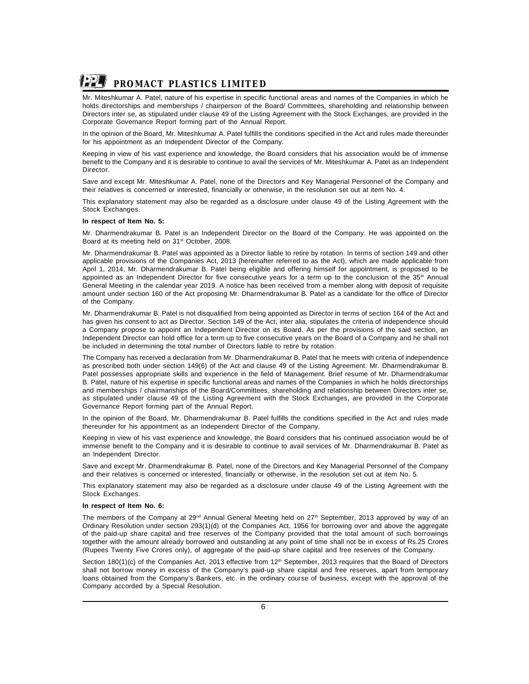Mr. Miteshkumar A. Patel, nature of his expertise in specific functional areas and names of the Companies in which he holds directorships and memberships / chairperson of the Board/ Committees, shareholding and relationship between Directors inter se, as stipulated under clause 49 of the Listing Agreement with the Stock Exchanges, are provided in the Corporate Governance Report forming part of the Annual Report.

In the opinion of the Board, Mr. Miteshkumar A. Patel fulfills the conditions specified in the Act and rules made thereunder for his appointment as an Independent Director of the Company.

Keeping in view of his vast experience and knowledge, the Board considers that his association would be of immense benefit to the Company and it is desirable to continue to avail the services of Mr. Miteshkumar A. Patel as an Independent Director.

Save and except Mr. Miteshkumar A. Patel, none of the Directors and Key Managerial Personnel of the Company and their relatives is concerned or interested, financially or otherwise, in the resolution set out at item No. 4.

This explanatory statement may also be regarded as a disclosure under clause 49 of the Listing Agreement with the Stock Exchanges.

### **In respect of Item No. 5:**

Mr. Dharmendrakumar B. Patel is an Independent Director on the Board of the Company. He was appointed on the Board at its meeting held on 31<sup>st</sup> October, 2008.

Mr. Dharmendrakumar B. Patel was appointed as a Director liable to retire by rotation. In terms of section 149 and other applicable provisions of the Companies Act, 2013 (hereinafter referred to as the Act), which are made applicable from April 1, 2014, Mr. Dharmendrakumar B. Patel being eligible and offering himself for appointment, is proposed to be appointed as an Independent Director for five consecutive years for a term up to the conclusion of the 35<sup>th</sup> Annual General Meeting in the calendar year 2019. A notice has been received from a member along with deposit of requisite amount under section 160 of the Act proposing Mr. Dharmendrakumar B. Patel as a candidate for the office of Director of the Company.

Mr. Dharmendrakumar B. Patel is not disqualified from being appointed as Director in terms of section 164 of the Act and has given his consent to act as Director. Section 149 of the Act, inter alia, stipulates the criteria of independence should a Company propose to appoint an Independent Director on its Board. As per the provisions of the said section, an Independent Director can hold office for a term up to five consecutive years on the Board of a Company and he shall not be included in determining the total number of Directors liable to retire by rotation.

The Company has received a declaration from Mr. Dharmendrakumar B. Patel that he meets with criteria of independence as prescribed both under section 149(6) of the Act and clause 49 of the Listing Agreement. Mr. Dharmendrakumar B. Patel possesses appropriate skills and experience in the field of Management. Brief resume of Mr. Dharmendrakumar B. Patel, nature of his expertise in specific functional areas and names of the Companies in which he holds directorships and memberships / chairmanships of the Board/Committees, shareholding and relationship between Directors inter se, as stipulated under clause 49 of the Listing Agreement with the Stock Exchanges, are provided in the Corporate Governance Report forming part of the Annual Report.

In the opinion of the Board, Mr. Dharmendrakumar B. Patel fulfills the conditions specified in the Act and rules made thereunder for his appointment as an Independent Director of the Company.

Keeping in view of his vast experience and knowledge, the Board considers that his continued association would be of immense benefit to the Company and it is desirable to continue to avail services of Mr. Dharmendrakumar B. Patel as an Independent Director.

Save and except Mr. Dharmendrakumar B. Patel, none of the Directors and Key Managerial Personnel of the Company and their relatives is concerned or interested, financially or otherwise, in the resolution set out at item No. 5.

This explanatory statement may also be regarded as a disclosure under clause 49 of the Listing Agreement with the Stock Exchanges.

#### **In respect of Item No. 6:**

The members of the Company at 29<sup>nd</sup> Annual General Meeting held on 27<sup>th</sup> September, 2013 approved by way of an Ordinary Resolution under section 293(1)(d) of the Companies Act, 1956 for borrowing over and above the aggregate of the paid-up share capital and free reserves of the Company provided that the total amount of such borrowings together with the amount already borrowed and outstanding at any point of time shall not be in excess of Rs.25 Crores (Rupees Twenty Five Crores only), of aggregate of the paid-up share capital and free reserves of the Company.

Section 180(1)(c) of the Companies Act, 2013 effective from  $12<sup>th</sup>$  September, 2013 requires that the Board of Directors shall not borrow money in excess of the Company's paid-up share capital and free reserves, apart from temporary loans obtained from the Company's Bankers, etc. in the ordinary course of business, except with the approval of the Company accorded by a Special Resolution.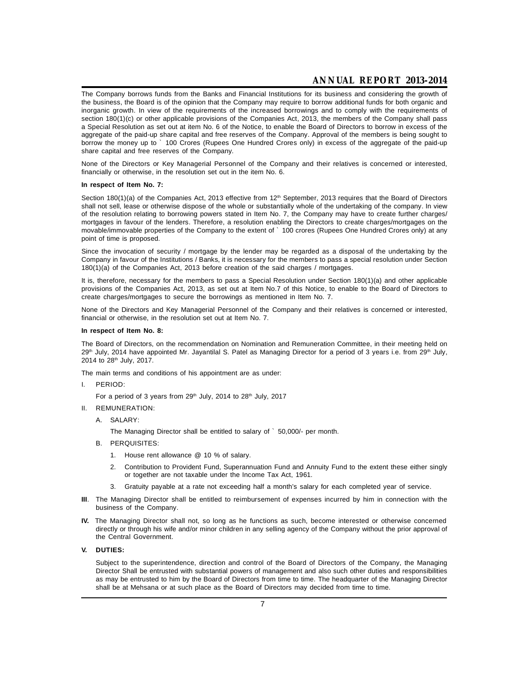The Company borrows funds from the Banks and Financial Institutions for its business and considering the growth of the business, the Board is of the opinion that the Company may require to borrow additional funds for both organic and inorganic growth. In view of the requirements of the increased borrowings and to comply with the requirements of section 180(1)(c) or other applicable provisions of the Companies Act, 2013, the members of the Company shall pass a Special Resolution as set out at item No. 6 of the Notice, to enable the Board of Directors to borrow in excess of the aggregate of the paid-up share capital and free reserves of the Company. Approval of the members is being sought to borrow the money up to ` 100 Crores (Rupees One Hundred Crores only) in excess of the aggregate of the paid-up share capital and free reserves of the Company.

None of the Directors or Key Managerial Personnel of the Company and their relatives is concerned or interested, financially or otherwise, in the resolution set out in the item No. 6.

### **In respect of Item No. 7:**

Section 180(1)(a) of the Companies Act, 2013 effective from  $12<sup>th</sup>$  September, 2013 requires that the Board of Directors shall not sell, lease or otherwise dispose of the whole or substantially whole of the undertaking of the company. In view of the resolution relating to borrowing powers stated in Item No. 7, the Company may have to create further charges/ mortgages in favour of the lenders. Therefore, a resolution enabling the Directors to create charges/mortgages on the movable/immovable properties of the Company to the extent of ` 100 crores (Rupees One Hundred Crores only) at any point of time is proposed.

Since the invocation of security / mortgage by the lender may be regarded as a disposal of the undertaking by the Company in favour of the Institutions / Banks, it is necessary for the members to pass a special resolution under Section 180(1)(a) of the Companies Act, 2013 before creation of the said charges / mortgages.

It is, therefore, necessary for the members to pass a Special Resolution under Section 180(1)(a) and other applicable provisions of the Companies Act, 2013, as set out at Item No.7 of this Notice, to enable to the Board of Directors to create charges/mortgages to secure the borrowings as mentioned in Item No. 7.

None of the Directors and Key Managerial Personnel of the Company and their relatives is concerned or interested, financial or otherwise, in the resolution set out at Item No. 7.

### **In respect of Item No. 8:**

The Board of Directors, on the recommendation on Nomination and Remuneration Committee, in their meeting held on 29<sup>th</sup> July, 2014 have appointed Mr. Jayantilal S. Patel as Managing Director for a period of 3 years i.e. from 29<sup>th</sup> July, 2014 to 28<sup>th</sup> July, 2017.

The main terms and conditions of his appointment are as under:

I. PERIOD:

For a period of 3 years from 29<sup>th</sup> July, 2014 to 28<sup>th</sup> July, 2017

- II. REMUNERATION:
	- A. SALARY:

The Managing Director shall be entitled to salary of ` 50,000/- per month.

- B. PERQUISITES:
	- 1. House rent allowance @ 10 % of salary.
	- 2. Contribution to Provident Fund, Superannuation Fund and Annuity Fund to the extent these either singly or together are not taxable under the Income Tax Act, 1961.
	- 3. Gratuity payable at a rate not exceeding half a month's salary for each completed year of service.
- **III**. The Managing Director shall be entitled to reimbursement of expenses incurred by him in connection with the business of the Company.
- **IV.** The Managing Director shall not, so long as he functions as such, become interested or otherwise concerned directly or through his wife and/or minor children in any selling agency of the Company without the prior approval of the Central Government.
- **V. DUTIES:**

Subject to the superintendence, direction and control of the Board of Directors of the Company, the Managing Director Shall be entrusted with substantial powers of management and also such other duties and responsibilities as may be entrusted to him by the Board of Directors from time to time. The headquarter of the Managing Director shall be at Mehsana or at such place as the Board of Directors may decided from time to time.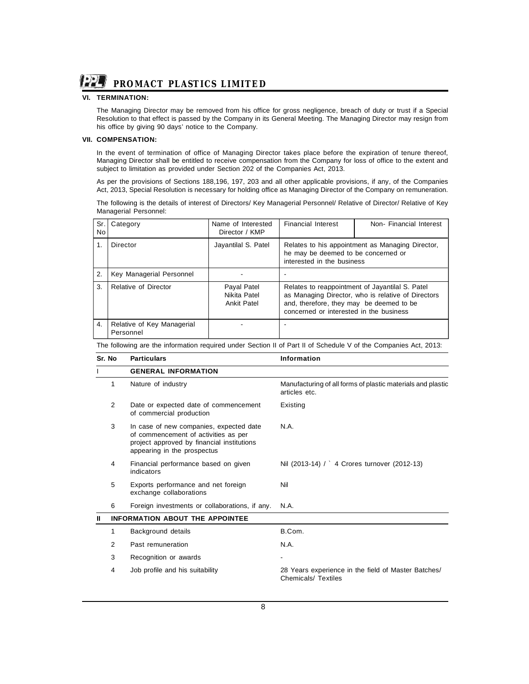### **VI. TERMINATION:**

The Managing Director may be removed from his office for gross negligence, breach of duty or trust if a Special Resolution to that effect is passed by the Company in its General Meeting. The Managing Director may resign from his office by giving 90 days' notice to the Company.

### **VII. COMPENSATION:**

In the event of termination of office of Managing Director takes place before the expiration of tenure thereof, Managing Director shall be entitled to receive compensation from the Company for loss of office to the extent and subject to limitation as provided under Section 202 of the Companies Act, 2013.

As per the provisions of Sections 188,196, 197, 203 and all other applicable provisions, if any, of the Companies Act, 2013, Special Resolution is necessary for holding office as Managing Director of the Company on remuneration.

The following is the details of interest of Directors/ Key Managerial Personnel/ Relative of Director/ Relative of Key Managerial Personnel:

| Sr.<br>No.       | Category                                | Name of Interested<br>Director / KMP              | Financial Interest                                                                                                                                                                           | Non-Financial Interest |
|------------------|-----------------------------------------|---------------------------------------------------|----------------------------------------------------------------------------------------------------------------------------------------------------------------------------------------------|------------------------|
| $\mathbf 1$      | Director                                | Jayantilal S. Patel                               | Relates to his appointment as Managing Director,<br>he may be deemed to be concerned or<br>interested in the business                                                                        |                        |
| 2.               | Key Managerial Personnel                |                                                   |                                                                                                                                                                                              |                        |
| 3.               | Relative of Director                    | Payal Patel<br>Nikita Patel<br><b>Ankit Patel</b> | Relates to reappointment of Jayantilal S. Patel<br>as Managing Director, who is relative of Directors<br>and, therefore, they may be deemed to be<br>concerned or interested in the business |                        |
| $\overline{4}$ . | Relative of Key Managerial<br>Personnel |                                                   |                                                                                                                                                                                              |                        |

The following are the information required under Section II of Part II of Schedule V of the Companies Act, 2013:

| Sr. No         | <b>Particulars</b>                                                                                                                                           | Information                                                                  |  |
|----------------|--------------------------------------------------------------------------------------------------------------------------------------------------------------|------------------------------------------------------------------------------|--|
|                | <b>GENERAL INFORMATION</b>                                                                                                                                   |                                                                              |  |
| 1              | Nature of industry                                                                                                                                           | Manufacturing of all forms of plastic materials and plastic<br>articles etc. |  |
| $\overline{2}$ | Date or expected date of commencement<br>of commercial production                                                                                            | Existing                                                                     |  |
| 3              | In case of new companies, expected date<br>of commencement of activities as per<br>project approved by financial institutions<br>appearing in the prospectus | N.A.                                                                         |  |
| 4              | Financial performance based on given<br>indicators                                                                                                           | Nil (2013-14) / 4 Crores turnover (2012-13)                                  |  |
| 5              | Exports performance and net foreign<br>exchange collaborations                                                                                               | Nil                                                                          |  |
| 6              | Foreign investments or collaborations, if any.                                                                                                               | N.A.                                                                         |  |
| Ш              | <b>INFORMATION ABOUT THE APPOINTEE</b>                                                                                                                       |                                                                              |  |
| 1              | Background details                                                                                                                                           | B.Com.                                                                       |  |
| 2              | Past remuneration                                                                                                                                            | N.A.                                                                         |  |
| 3              | Recognition or awards                                                                                                                                        |                                                                              |  |
| 4              | Job profile and his suitability                                                                                                                              | 28 Years experience in the field of Master Batches/<br>Chemicals/ Textiles   |  |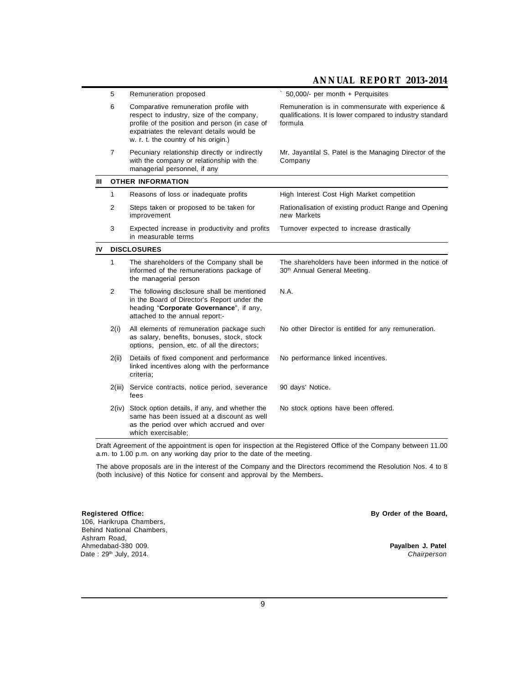|    | 5              | Remuneration proposed                                                                                                                                                                                                     | 50,000/- per month + Perquisites                                                                                          |
|----|----------------|---------------------------------------------------------------------------------------------------------------------------------------------------------------------------------------------------------------------------|---------------------------------------------------------------------------------------------------------------------------|
|    | 6              | Comparative remuneration profile with<br>respect to industry, size of the company,<br>profile of the position and person (in case of<br>expatriates the relevant details would be<br>w. r. t. the country of his origin.) | Remuneration is in commensurate with experience &<br>qualifications. It is lower compared to industry standard<br>formula |
|    | $\overline{7}$ | Pecuniary relationship directly or indirectly<br>with the company or relationship with the<br>managerial personnel, if any                                                                                                | Mr. Jayantilal S. Patel is the Managing Director of the<br>Company                                                        |
| Ш  |                | <b>OTHER INFORMATION</b>                                                                                                                                                                                                  |                                                                                                                           |
|    | 1              | Reasons of loss or inadequate profits                                                                                                                                                                                     | High Interest Cost High Market competition                                                                                |
|    | $\overline{2}$ | Steps taken or proposed to be taken for<br>improvement                                                                                                                                                                    | Rationalisation of existing product Range and Opening<br>new Markets                                                      |
|    | 3              | Expected increase in productivity and profits<br>in measurable terms                                                                                                                                                      | Turnover expected to increase drastically                                                                                 |
| IV |                | <b>DISCLOSURES</b>                                                                                                                                                                                                        |                                                                                                                           |
|    | 1.             | The shareholders of the Company shall be<br>informed of the remunerations package of<br>the managerial person                                                                                                             | The shareholders have been informed in the notice of<br>30 <sup>th</sup> Annual General Meeting.                          |
|    | 2              | The following disclosure shall be mentioned<br>in the Board of Director's Report under the<br>heading "Corporate Governance", if any,<br>attached to the annual report:-                                                  | N.A.                                                                                                                      |
|    | 2(i)           | All elements of remuneration package such<br>as salary, benefits, bonuses, stock, stock<br>options, pension, etc. of all the directors;                                                                                   | No other Director is entitled for any remuneration.                                                                       |
|    | 2(ii)          | Details of fixed component and performance<br>linked incentives along with the performance<br>criteria;                                                                                                                   | No performance linked incentives.                                                                                         |
|    | 2(iii)         | Service contracts, notice period, severance<br>fees                                                                                                                                                                       | 90 days' Notice.                                                                                                          |
|    |                | 2(iv) Stock option details, if any, and whether the<br>same has been issued at a discount as well<br>as the period over which accrued and over<br>which exercisable:                                                      | No stock options have been offered.                                                                                       |

Draft Agreement of the appointment is open for inspection at the Registered Office of the Company between 11.00 a.m. to 1.00 p.m. on any working day prior to the date of the meeting.

The above proposals are in the interest of the Company and the Directors recommend the Resolution Nos. 4 to 8 (both inclusive) of this Notice for consent and approval by the Members**.**

**Registered Office: By Order of the Board,** 106, Harikrupa Chambers, Behind National Chambers, Ashram Road, Ahmedabad-380 009. **Payalben J. Patel** Date: 29<sup>th</sup> July, 2014. Chairperson and the state of the state of the state of the state of the state of the state of the state of the state of the state of the state of the state of the state of the state of the state of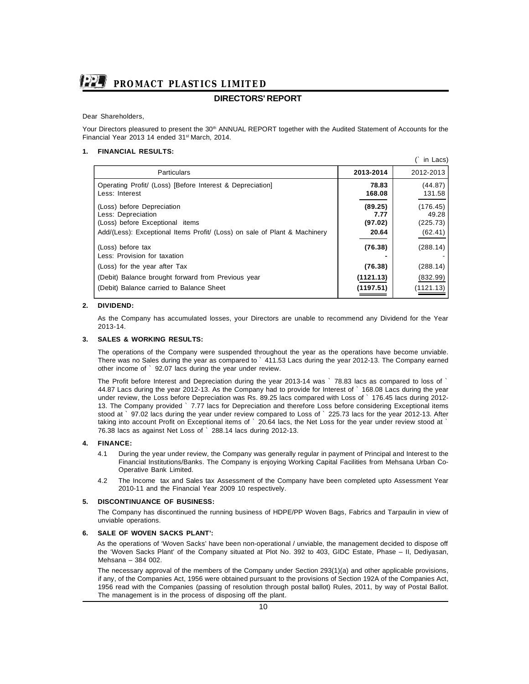### **DIRECTORS' REPORT**

### Dear Shareholders,

Your Directors pleasured to present the 30<sup>th</sup> ANNUAL REPORT together with the Audited Statement of Accounts for the Financial Year 2013 14 ended 31<sup>st</sup> March, 2014.

### **1. FINANCIAL RESULTS:**

|                                                                           |           | in Lacs)  |
|---------------------------------------------------------------------------|-----------|-----------|
| <b>Particulars</b>                                                        | 2013-2014 | 2012-2013 |
| Operating Profit/ (Loss) [Before Interest & Depreciation]                 | 78.83     | (44.87)   |
| Less: Interest                                                            | 168.08    | 131.58    |
| (Loss) before Depreciation                                                | (89.25)   | (176.45)  |
| Less: Depreciation                                                        | 7.77      | 49.28     |
| (Loss) before Exceptional items                                           | (97.02)   | (225.73)  |
| Add/(Less): Exceptional Items Profit/ (Loss) on sale of Plant & Machinery | 20.64     | (62.41)   |
| (Loss) before tax<br>Less: Provision for taxation                         | (76.38)   | (288.14)  |
| (Loss) for the year after Tax                                             | (76.38)   | (288.14)  |
| (Debit) Balance brought forward from Previous year                        | (1121.13) | (832.99)  |
| (Debit) Balance carried to Balance Sheet                                  | (1197.51) | (1121.13) |

### **2. DIVIDEND:**

As the Company has accumulated losses, your Directors are unable to recommend any Dividend for the Year 2013-14.

### **3. SALES & WORKING RESULTS:**

The operations of the Company were suspended throughout the year as the operations have become unviable. There was no Sales during the year as compared to ` 411.53 Lacs during the year 2012-13. The Company earned other income of ` 92.07 lacs during the year under review.

The Profit before Interest and Depreciation during the year 2013-14 was ` 78.83 lacs as compared to loss of ` 44.87 Lacs during the year 2012-13. As the Company had to provide for Interest of ` 168.08 Lacs during the year under review, the Loss before Depreciation was Rs. 89.25 lacs compared with Loss of ` 176.45 lacs during 2012- 13. The Company provided ` 7.77 lacs for Depreciation and therefore Loss before considering Exceptional items stood at ` 97.02 lacs during the year under review compared to Loss of ` 225.73 lacs for the year 2012-13. After taking into account Profit on Exceptional items of ` 20.64 lacs, the Net Loss for the year under review stood at ` 76.38 lacs as against Net Loss of ` 288.14 lacs during 2012-13.

### **4. FINANCE:**

- 4.1 During the year under review, the Company was generally regular in payment of Principal and Interest to the Financial Institutions/Banks. The Company is enjoying Working Capital Facilities from Mehsana Urban Co-Operative Bank Limited.
- 4.2 The Income tax and Sales tax Assessment of the Company have been completed upto Assessment Year 2010-11 and the Financial Year 2009 10 respectively.

### **5. DISCONTINUANCE OF BUSINESS:**

The Company has discontinued the running business of HDPE/PP Woven Bags, Fabrics and Tarpaulin in view of unviable operations.

### **6. SALE OF WOVEN SACKS PLANT':**

As the operations of 'Woven Sacks' have been non-operational / unviable, the management decided to dispose off the 'Woven Sacks Plant' of the Company situated at Plot No. 392 to 403, GIDC Estate, Phase – II, Dediyasan, Mehsana – 384 002.

The necessary approval of the members of the Company under Section 293(1)(a) and other applicable provisions, if any, of the Companies Act, 1956 were obtained pursuant to the provisions of Section 192A of the Companies Act, 1956 read with the Companies (passing of resolution through postal ballot) Rules, 2011, by way of Postal Ballot. The management is in the process of disposing off the plant.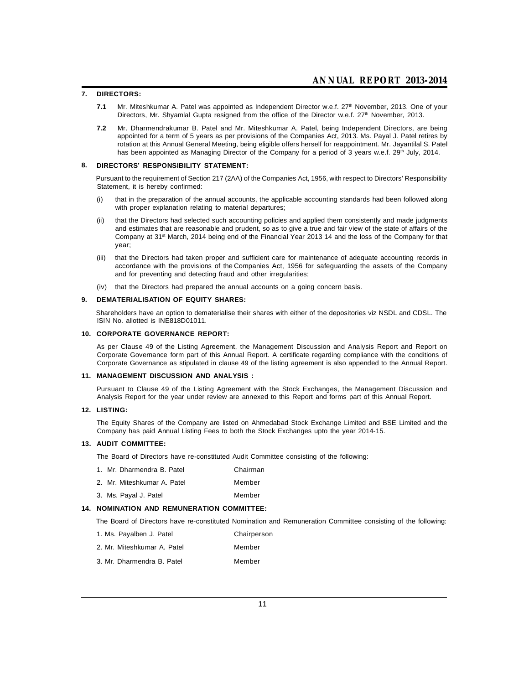### **7. DIRECTORS:**

- 7.1 Mr. Miteshkumar A. Patel was appointed as Independent Director w.e.f. 27<sup>th</sup> November, 2013. One of your Directors, Mr. Shyamlal Gupta resigned from the office of the Director w.e.f. 27<sup>th</sup> November, 2013.
- **7.2** Mr. Dharmendrakumar B. Patel and Mr. Miteshkumar A. Patel, being Independent Directors, are being appointed for a term of 5 years as per provisions of the Companies Act, 2013. Ms. Payal J. Patel retires by rotation at this Annual General Meeting, being eligible offers herself for reappointment. Mr. Jayantilal S. Patel has been appointed as Managing Director of the Company for a period of 3 years w.e.f. 29<sup>th</sup> July, 2014.

### **8. DIRECTORS' RESPONSIBILITY STATEMENT:**

Pursuant to the requirement of Section 217 (2AA) of the Companies Act, 1956, with respect to Directors' Responsibility Statement, it is hereby confirmed:

- (i) that in the preparation of the annual accounts, the applicable accounting standards had been followed along with proper explanation relating to material departures;
- (ii) that the Directors had selected such accounting policies and applied them consistently and made judgments and estimates that are reasonable and prudent, so as to give a true and fair view of the state of affairs of the Company at 31<sup>st</sup> March, 2014 being end of the Financial Year 2013 14 and the loss of the Company for that year;
- (iii) that the Directors had taken proper and sufficient care for maintenance of adequate accounting records in accordance with the provisions of the Companies Act, 1956 for safeguarding the assets of the Company and for preventing and detecting fraud and other irregularities;
- (iv) that the Directors had prepared the annual accounts on a going concern basis.

### **9. DEMATERIALISATION OF EQUITY SHARES:**

Shareholders have an option to dematerialise their shares with either of the depositories viz NSDL and CDSL. The ISIN No. allotted is INE818D01011.

### **10. CORPORATE GOVERNANCE REPORT:**

As per Clause 49 of the Listing Agreement, the Management Discussion and Analysis Report and Report on Corporate Governance form part of this Annual Report. A certificate regarding compliance with the conditions of Corporate Governance as stipulated in clause 49 of the listing agreement is also appended to the Annual Report.

### **11. MANAGEMENT DISCUSSION AND ANALYSIS :**

Pursuant to Clause 49 of the Listing Agreement with the Stock Exchanges, the Management Discussion and Analysis Report for the year under review are annexed to this Report and forms part of this Annual Report.

### **12. LISTING:**

The Equity Shares of the Company are listed on Ahmedabad Stock Exchange Limited and BSE Limited and the Company has paid Annual Listing Fees to both the Stock Exchanges upto the year 2014-15.

### **13. AUDIT COMMITTEE:**

The Board of Directors have re-constituted Audit Committee consisting of the following:

| 1. Mr. Dharmendra B. Patel  | Chairman |
|-----------------------------|----------|
| 2. Mr. Miteshkumar A. Patel | Member   |

3. Ms. Payal J. Patel **Member** 

### **14. NOMINATION AND REMUNERATION COMMITTEE:**

The Board of Directors have re-constituted Nomination and Remuneration Committee consisting of the following:

- 1. Ms. Payalben J. Patel Chairperson
- 2. Mr. Miteshkumar A. Patel Member
- 3. Mr. Dharmendra B. Patel **Member**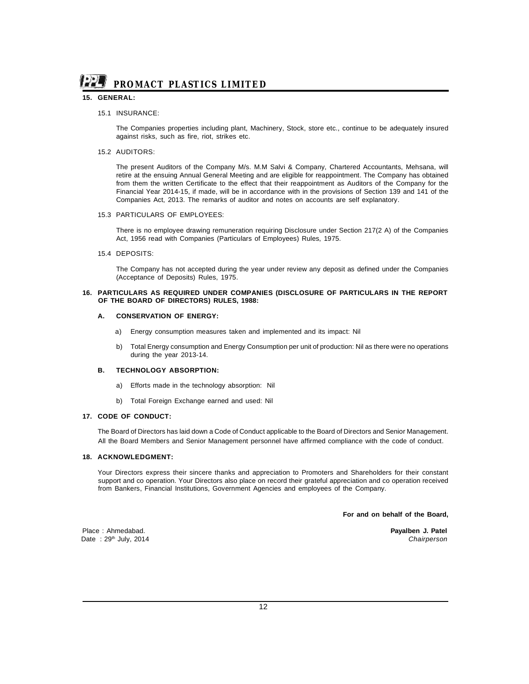### **15. GENERAL:**

15.1 INSURANCE:

The Companies properties including plant, Machinery, Stock, store etc., continue to be adequately insured against risks, such as fire, riot, strikes etc.

15.2 AUDITORS:

The present Auditors of the Company M/s. M.M Salvi & Company, Chartered Accountants, Mehsana, will retire at the ensuing Annual General Meeting and are eligible for reappointment. The Company has obtained from them the written Certificate to the effect that their reappointment as Auditors of the Company for the Financial Year 2014-15, if made, will be in accordance with in the provisions of Section 139 and 141 of the Companies Act, 2013. The remarks of auditor and notes on accounts are self explanatory.

### 15.3 PARTICULARS OF EMPLOYEES:

There is no employee drawing remuneration requiring Disclosure under Section 217(2 A) of the Companies Act, 1956 read with Companies (Particulars of Employees) Rules, 1975.

15.4 DEPOSITS:

The Company has not accepted during the year under review any deposit as defined under the Companies (Acceptance of Deposits) Rules, 1975.

### **16. PARTICULARS AS REQUIRED UNDER COMPANIES (DISCLOSURE OF PARTICULARS IN THE REPORT OF THE BOARD OF DIRECTORS) RULES, 1988:**

### **A. CONSERVATION OF ENERGY:**

- a) Energy consumption measures taken and implemented and its impact: Nil
- b) Total Energy consumption and Energy Consumption per unit of production: Nil as there were no operations during the year 2013-14.

### **B. TECHNOLOGY ABSORPTION:**

- a) Efforts made in the technology absorption: Nil
- b) Total Foreign Exchange earned and used: Nil

### **17. CODE OF CONDUCT:**

The Board of Directors has laid down a Code of Conduct applicable to the Board of Directors and Senior Management. All the Board Members and Senior Management personnel have affirmed compliance with the code of conduct.

### **18. ACKNOWLEDGMENT:**

Your Directors express their sincere thanks and appreciation to Promoters and Shareholders for their constant support and co operation. Your Directors also place on record their grateful appreciation and co operation received from Bankers, Financial Institutions, Government Agencies and employees of the Company.

**For and on behalf of the Board,**

Date : 29<sup>th</sup> July, 2014 Chairperson Chairperson Chairperson

Place : Ahmedabad. **Payalben J. Patel**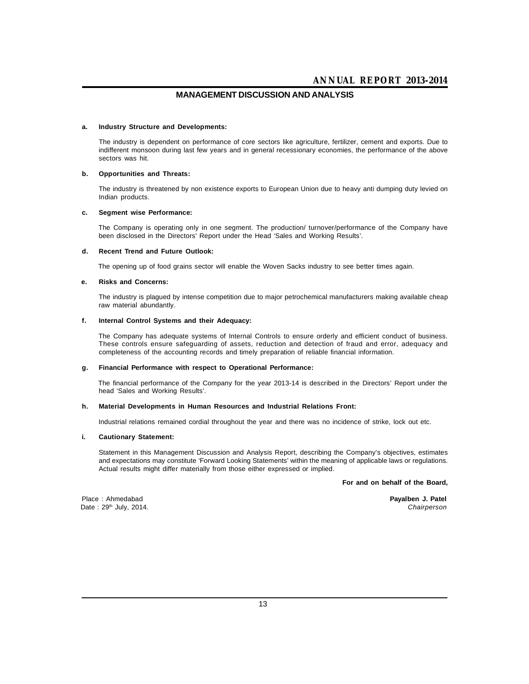# **MANAGEMENT DISCUSSION AND ANALYSIS**

### **a. Industry Structure and Developments:**

The industry is dependent on performance of core sectors like agriculture, fertilizer, cement and exports. Due to indifferent monsoon during last few years and in general recessionary economies, the performance of the above sectors was hit.

### **b. Opportunities and Threats:**

The industry is threatened by non existence exports to European Union due to heavy anti dumping duty levied on Indian products.

### **c. Segment wise Performance:**

The Company is operating only in one segment. The production/ turnover/performance of the Company have been disclosed in the Directors' Report under the Head 'Sales and Working Results'.

### **d. Recent Trend and Future Outlook:**

The opening up of food grains sector will enable the Woven Sacks industry to see better times again.

### **e. Risks and Concerns:**

The industry is plagued by intense competition due to major petrochemical manufacturers making available cheap raw material abundantly.

### **f. Internal Control Systems and their Adequacy:**

The Company has adequate systems of Internal Controls to ensure orderly and efficient conduct of business. These controls ensure safeguarding of assets, reduction and detection of fraud and error, adequacy and completeness of the accounting records and timely preparation of reliable financial information.

### **g. Financial Performance with respect to Operational Performance:**

The financial performance of the Company for the year 2013-14 is described in the Directors' Report under the head 'Sales and Working Results'.

### **h. Material Developments in Human Resources and Industrial Relations Front:**

Industrial relations remained cordial throughout the year and there was no incidence of strike, lock out etc.

### **i. Cautionary Statement:**

Statement in this Management Discussion and Analysis Report, describing the Company's objectives, estimates and expectations may constitute 'Forward Looking Statements' within the meaning of applicable laws or regulations. Actual results might differ materially from those either expressed or implied.

**For and on behalf of the Board,**

Place : Ahmedabad **Payalben J. Patel** Date: 29<sup>th</sup> July, 2014. Chairperson and the state of the state of the state of the state of the state of the state of the state of the state of the state of the state of the state of the state of the state of the state of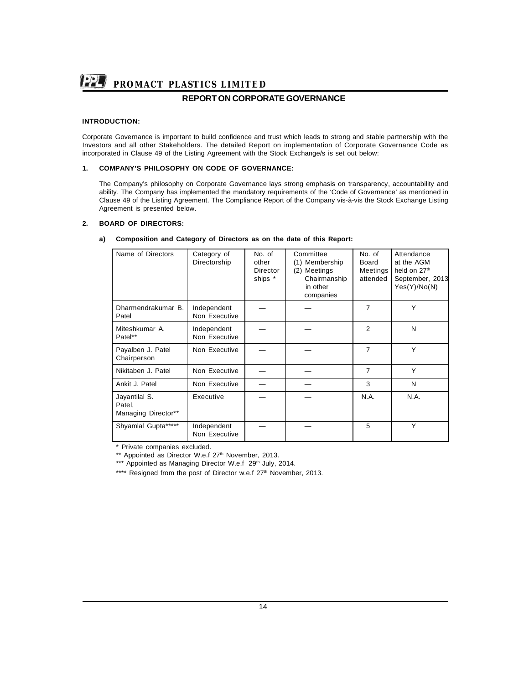### **REPORT ON CORPORATE GOVERNANCE**

### **INTRODUCTION:**

Corporate Governance is important to build confidence and trust which leads to strong and stable partnership with the Investors and all other Stakeholders. The detailed Report on implementation of Corporate Governance Code as incorporated in Clause 49 of the Listing Agreement with the Stock Exchange/s is set out below:

### **1. COMPANY'S PHILOSOPHY ON CODE OF GOVERNANCE:**

The Company's philosophy on Corporate Governance lays strong emphasis on transparency, accountability and ability. The Company has implemented the mandatory requirements of the 'Code of Governance' as mentioned in Clause 49 of the Listing Agreement. The Compliance Report of the Company vis-à-vis the Stock Exchange Listing Agreement is presented below.

### **2. BOARD OF DIRECTORS:**

| Name of Directors                              | Category of<br>Directorship  | No. of<br>other<br>Director<br>ships * | Committee<br>(1) Membership<br>(2) Meetings<br>Chairmanship<br>in other<br>companies | No. of<br>Board<br>Meetings<br>attended | Attendance<br>at the AGM<br>held on 27th<br>September, 2013<br>Yes(Y)/No(N) |
|------------------------------------------------|------------------------------|----------------------------------------|--------------------------------------------------------------------------------------|-----------------------------------------|-----------------------------------------------------------------------------|
| Dharmendrakumar B.<br>Patel                    | Independent<br>Non Executive |                                        |                                                                                      | $\overline{7}$                          | Υ                                                                           |
| Miteshkumar A.<br>Patel**                      | Independent<br>Non Executive |                                        |                                                                                      | $\mathfrak{p}$                          | N                                                                           |
| Payalben J. Patel<br>Chairperson               | Non Executive                |                                        |                                                                                      | $\overline{7}$                          | Y                                                                           |
| Nikitaben J. Patel                             | Non Executive                |                                        |                                                                                      | $\overline{7}$                          | Y                                                                           |
| Ankit J. Patel                                 | Non Executive                |                                        |                                                                                      | 3                                       | N                                                                           |
| Jayantilal S.<br>Patel,<br>Managing Director** | Executive                    |                                        |                                                                                      | N.A.                                    | N.A.                                                                        |
| Shyamlal Gupta*****                            | Independent<br>Non Executive |                                        |                                                                                      | 5                                       | Υ                                                                           |

### **a) Composition and Category of Directors as on the date of this Report:**

\* Private companies excluded.

\*\* Appointed as Director W.e.f 27<sup>th</sup> November, 2013.

\*\*\* Appointed as Managing Director W.e.f 29<sup>th</sup> July, 2014.

\*\*\*\* Resigned from the post of Director w.e.f 27<sup>th</sup> November, 2013.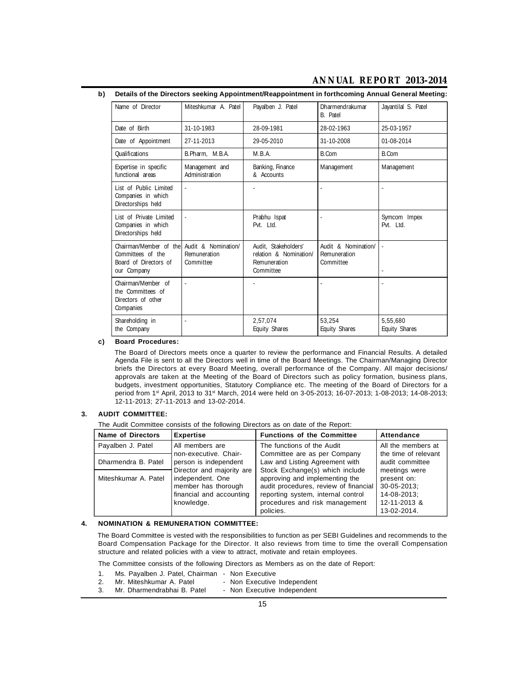### **b) Details of the Directors seeking Appointment/Reappointment in forthcoming Annual General Meeting:**

| Name of Director                                                                    | Miteshkumar A. Patel                             | Payalben J. Patel                                                           | Dharmendrakumar<br>B. Patel                      | Jayantilal S. Patel              |
|-------------------------------------------------------------------------------------|--------------------------------------------------|-----------------------------------------------------------------------------|--------------------------------------------------|----------------------------------|
| Date of Birth                                                                       | 31-10-1983                                       | 28-09-1981                                                                  | 28-02-1963                                       | 25-03-1957                       |
| Date of Appointment                                                                 | 27-11-2013                                       | 29-05-2010                                                                  | 31-10-2008                                       | 01-08-2014                       |
| <b>Oualifications</b>                                                               | B.Pharm, M.B.A.                                  | M.B.A.                                                                      | B.Com                                            | B.Com                            |
| Expertise in specific<br>functional areas                                           | Management and<br>Administration                 | Banking, Finance<br>& Accounts                                              | Management                                       | Management                       |
| List of Public Limited<br>Companies in which<br>Directorships held                  |                                                  |                                                                             |                                                  |                                  |
| List of Private Limited<br>Companies in which<br>Directorships held                 |                                                  | Prabhu Ispat<br>Pvt. Ltd.                                                   |                                                  | Symcom Impex<br>Pvt. Ltd.        |
| Chairman/Member of the<br>Committees of the<br>Board of Directors of<br>our Company | Audit & Nomination/<br>Remuneration<br>Committee | Audit. Stakeholders'<br>relation & Nomination/<br>Remuneration<br>Committee | Audit & Nomination/<br>Remuneration<br>Committee |                                  |
| Chairman/Member of<br>the Committees of<br>Directors of other<br>Companies          |                                                  |                                                                             |                                                  |                                  |
| Shareholding in<br>the Company                                                      |                                                  | 2,57,074<br><b>Equity Shares</b>                                            | 53,254<br><b>Equity Shares</b>                   | 5,55,680<br><b>Equity Shares</b> |

### **c) Board Procedures:**

The Board of Directors meets once a quarter to review the performance and Financial Results. A detailed Agenda File is sent to all the Directors well in time of the Board Meetings. The Chairman/Managing Director briefs the Directors at every Board Meeting, overall performance of the Company. All major decisions/ approvals are taken at the Meeting of the Board of Directors such as policy formation, business plans, budgets, investment opportunities, Statutory Compliance etc. The meeting of the Board of Directors for a period from 1<sup>st</sup> April, 2013 to 31<sup>st</sup> March, 2014 were held on 3-05-2013; 16-07-2013; 1-08-2013; 14-08-2013; 12-11-2013; 27-11-2013 and 13-02-2014.

### **3. AUDIT COMMITTEE:**

The Audit Committee consists of the following Directors as on date of the Report:

| Name of Directors    | <b>Expertise</b>          | <b>Functions of the Committee</b>     | Attendance           |
|----------------------|---------------------------|---------------------------------------|----------------------|
| Payalben J. Patel    | All members are           | The functions of the Audit            | All the members at   |
|                      | non-executive. Chair-     | Committee are as per Company          | the time of relevant |
| Dharmendra B. Patel  | person is independent     | Law and Listing Agreement with        | audit committee      |
|                      | Director and majority are | Stock Exchange(s) which include       | meetings were        |
| Miteshkumar A. Patel | independent. One          | approving and implementing the        | present on:          |
|                      | member has thorough       | audit procedures, review of financial | 30-05-2013:          |
|                      | financial and accounting  | reporting system, internal control    | 14-08-2013:          |
|                      | knowledge.                | procedures and risk management        | 12-11-2013 &         |
|                      |                           | policies.                             | 13-02-2014.          |

### **4. NOMINATION & REMUNERATION COMMITTEE:**

The Board Committee is vested with the responsibilities to function as per SEBI Guidelines and recommends to the Board Compensation Package for the Director. It also reviews from time to time the overall Compensation structure and related policies with a view to attract, motivate and retain employees.

The Committee consists of the following Directors as Members as on the date of Report:

- 1. Ms. Payalben J. Patel, Chairman Non Executive
- 2. Mr. Miteshkumar A. Patel Non Executive Independent
- 3. Mr. Dharmendrabhai B. Patel Non Executive Independent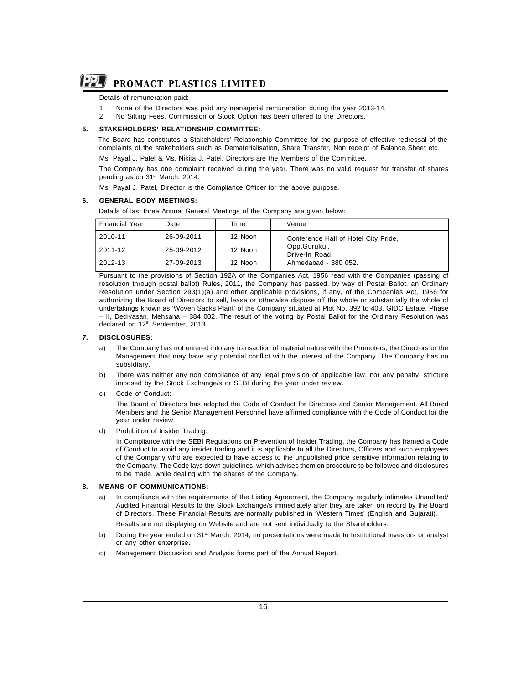### Details of remuneration paid:

- None of the Directors was paid any managerial remuneration during the year 2013-14.
- 2. No Sitting Fees, Commission or Stock Option has been offered to the Directors.

### **5. STAKEHOLDERS' RELATIONSHIP COMMITTEE:**

The Board has constitutes a Stakeholders' Relationship Committee for the purpose of effective redressal of the complaints of the stakeholders such as Dematerialisation, Share Transfer, Non receipt of Balance Sheet etc. Ms. Payal J. Patel & Ms. Nikita J. Patel, Directors are the Members of the Committee.

The Company has one complaint received during the year. There was no valid request for transfer of shares pending as on 31<sup>st</sup> March, 2014.

Ms. Payal J. Patel, Director is the Compliance Officer for the above purpose.

### **6. GENERAL BODY MEETINGS:**

Details of last three Annual General Meetings of the Company are given below:

| l Financial Year | Date       | Time    | Venue                                |
|------------------|------------|---------|--------------------------------------|
| l 2010-11        | 26-09-2011 | 12 Noon | Conference Hall of Hotel City Pride, |
| l 2011-12        | 25-09-2012 | 12 Noon | Opp.Gurukul,<br>Drive-In Road.       |
| 2012-13          | 27-09-2013 | 12 Noon | Ahmedabad - 380 052.                 |

Pursuant to the provisions of Section 192A of the Companies Act, 1956 read with the Companies (passing of resolution through postal ballot) Rules, 2011, the Company has passed, by way of Postal Ballot, an Ordinary Resolution under Section 293(1)(a) and other applicable provisions, if any, of the Companies Act, 1956 for authorizing the Board of Directors to sell, lease or otherwise dispose off the whole or substantially the whole of undertakings known as 'Woven Sacks Plant' of the Company situated at Plot No. 392 to 403, GIDC Estate, Phase – II, Dediyasan, Mehsana – 384 002. The result of the voting by Postal Ballot for the Ordinary Resolution was declared on 12<sup>th</sup> September, 2013.

### **7. DISCLOSURES:**

- a) The Company has not entered into any transaction of material nature with the Promoters, the Directors or the Management that may have any potential conflict with the interest of the Company. The Company has no subsidiary.
- b) There was neither any non compliance of any legal provision of applicable law, nor any penalty, stricture imposed by the Stock Exchange/s or SEBI during the year under review.
- c) Code of Conduct:

The Board of Directors has adopted the Code of Conduct for Directors and Senior Management. All Board Members and the Senior Management Personnel have affirmed compliance with the Code of Conduct for the year under review.

d) Prohibition of Insider Trading:

In Compliance with the SEBI Regulations on Prevention of Insider Trading, the Company has framed a Code of Conduct to avoid any insider trading and it is applicable to all the Directors, Officers and such employees of the Company who are expected to have access to the unpublished price sensitive information relating to the Company. The Code lays down guidelines, which advises them on procedure to be followed and disclosures to be made, while dealing with the shares of the Company.

### **8. MEANS OF COMMUNICATIONS:**

- a) In compliance with the requirements of the Listing Agreement, the Company regularly intimates Unaudited/ Audited Financial Results to the Stock Exchange/s immediately after they are taken on record by the Board of Directors. These Financial Results are normally published in 'Western Times' (English and Gujarati). Results are not displaying on Website and are not sent individually to the Shareholders.
- b) During the year ended on 31<sup>st</sup> March, 2014, no presentations were made to Institutional Investors or analyst or any other enterprise.
- c) Management Discussion and Analysis forms part of the Annual Report.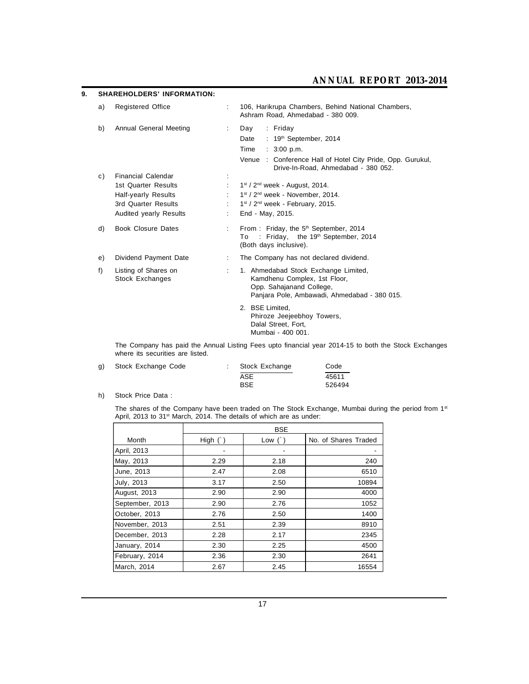| 9. | <b>SHAREHOLDERS' INFORMATION:</b> |                                                                                                                                 |    |                                                                                                                                                                                            |
|----|-----------------------------------|---------------------------------------------------------------------------------------------------------------------------------|----|--------------------------------------------------------------------------------------------------------------------------------------------------------------------------------------------|
|    | a)                                | <b>Registered Office</b>                                                                                                        | t. | 106, Harikrupa Chambers, Behind National Chambers,<br>Ashram Road, Ahmedabad - 380 009.                                                                                                    |
|    | b)                                | Annual General Meeting                                                                                                          | ÷  | Day<br>: Friday<br>: $19th$ September, 2014<br>Date<br>Time<br>$\therefore$ 3:00 p.m.<br>Venue : Conference Hall of Hotel City Pride, Opp. Gurukul,<br>Drive-In-Road, Ahmedabad - 380 052. |
|    | C)                                | <b>Financial Calendar</b><br>1st Quarter Results<br>Half-yearly Results<br>3rd Quarter Results<br><b>Audited yearly Results</b> | t. | $1st$ / $2nd$ week - August, 2014.<br>$1st$ / $2nd$ week - November, 2014.<br>1st / 2 <sup>nd</sup> week - February, 2015.<br>End - May, 2015.                                             |
|    | d)                                | <b>Book Closure Dates</b>                                                                                                       | ÷  | From: Friday, the 5 <sup>th</sup> September, 2014<br>: Friday, the 19th September, 2014<br>To<br>(Both days inclusive).                                                                    |
|    | e)                                | Dividend Payment Date                                                                                                           | ÷  | The Company has not declared dividend.                                                                                                                                                     |
|    | f)                                | Listing of Shares on<br><b>Stock Exchanges</b>                                                                                  | ÷  | 1. Ahmedabad Stock Exchange Limited,<br>Kamdhenu Complex, 1st Floor,<br>Opp. Sahajanand College,<br>Panjara Pole, Ambawadi, Ahmedabad - 380 015.                                           |
|    |                                   |                                                                                                                                 |    | 2. BSE Limited.<br>Phiroze Jeejeebhoy Towers,<br>Dalal Street, Fort,<br>Mumbai - 400 001.                                                                                                  |

The Company has paid the Annual Listing Fees upto financial year 2014-15 to both the Stock Exchanges where its securities are listed.

| g) | Stock Exchange Code |            | Stock Exchange | Code   |
|----|---------------------|------------|----------------|--------|
|    |                     | ASE        |                | 45611  |
|    |                     | <b>BSE</b> |                | 526494 |

h) Stock Price Data :

The shares of the Company have been traded on The Stock Exchange, Mumbai during the period from 1st April, 2013 to 31<sup>st</sup> March, 2014. The details of which are as under:

|                 | <b>BSE</b> |           |                      |  |  |
|-----------------|------------|-----------|----------------------|--|--|
| Month           | High $($ ) | Low $($ ) | No. of Shares Traded |  |  |
| April, 2013     |            |           |                      |  |  |
| May, 2013       | 2.29       | 2.18      | 240                  |  |  |
| June, 2013      | 2.47       | 2.08      | 6510                 |  |  |
| July, 2013      | 3.17       | 2.50      | 10894                |  |  |
| August, 2013    | 2.90       | 2.90      | 4000                 |  |  |
| September, 2013 | 2.90       | 2.76      | 1052                 |  |  |
| October, 2013   | 2.76       | 2.50      | 1400                 |  |  |
| November, 2013  | 2.51       | 2.39      | 8910                 |  |  |
| December, 2013  | 2.28       | 2.17      | 2345                 |  |  |
| January, 2014   | 2.30       | 2.25      | 4500                 |  |  |
| February, 2014  | 2.36       | 2.30      | 2641                 |  |  |
| March, 2014     | 2.67       | 2.45      | 16554                |  |  |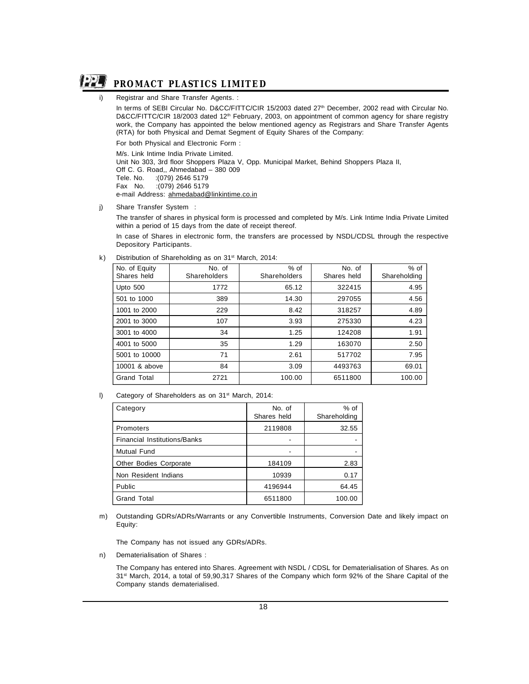

Registrar and Share Transfer Agents. :

In terms of SEBI Circular No. D&CC/FITTC/CIR 15/2003 dated 27<sup>th</sup> December, 2002 read with Circular No. D&CC/FITTC/CIR 18/2003 dated 12<sup>th</sup> February, 2003, on appointment of common agency for share registry work, the Company has appointed the below mentioned agency as Registrars and Share Transfer Agents (RTA) for both Physical and Demat Segment of Equity Shares of the Company:

For both Physical and Electronic Form :

M/s. Link Intime India Private Limited. Unit No 303, 3rd floor Shoppers Plaza V, Opp. Municipal Market, Behind Shoppers Plaza II, Off C. G. Road,, Ahmedabad – 380 009 Tele. No. :(079) 2646 5179 Fax No. :(079) 2646 5179 e-mail Address: ahmedabad@linkintime.co.in

j) Share Transfer System :

The transfer of shares in physical form is processed and completed by M/s. Link Intime India Private Limited within a period of 15 days from the date of receipt thereof.

In case of Shares in electronic form, the transfers are processed by NSDL/CDSL through the respective Depository Participants.

k) Distribution of Shareholding as on  $31<sup>st</sup>$  March, 2014:

| No. of Equity<br>Shares held | No. of<br>Shareholders | % of<br>Shareholders | No. of<br>Shares held | $%$ of<br>Shareholding |
|------------------------------|------------------------|----------------------|-----------------------|------------------------|
| Upto 500                     | 1772                   | 65.12                | 322415                | 4.95                   |
| 501 to 1000                  | 389                    | 14.30                | 297055                | 4.56                   |
| 1001 to 2000                 | 229                    | 8.42                 | 318257                | 4.89                   |
| 2001 to 3000                 | 107                    | 3.93                 | 275330                | 4.23                   |
| 3001 to 4000                 | 34                     | 1.25                 | 124208                | 1.91                   |
| 4001 to 5000                 | 35                     | 1.29                 | 163070                | 2.50                   |
| 5001 to 10000                | 71                     | 2.61                 | 517702                | 7.95                   |
| 10001 & above                | 84                     | 3.09                 | 4493763               | 69.01                  |
| <b>Grand Total</b>           | 2721                   | 100.00               | 6511800               | 100.00                 |

l) Category of Shareholders as on 31<sup>st</sup> March, 2014:

| Category                            | No. of<br>Shares held | $%$ of<br>Shareholding |
|-------------------------------------|-----------------------|------------------------|
| Promoters                           | 2119808               | 32.55                  |
| <b>Financial Institutions/Banks</b> |                       |                        |
| <b>Mutual Fund</b>                  |                       |                        |
| Other Bodies Corporate              | 184109                | 2.83                   |
| Non Resident Indians                | 10939                 | 0.17                   |
| Public                              | 4196944               | 64.45                  |
| <b>Grand Total</b>                  | 6511800               | 100.00                 |

m) Outstanding GDRs/ADRs/Warrants or any Convertible Instruments, Conversion Date and likely impact on Equity:

The Company has not issued any GDRs/ADRs.

n) Dematerialisation of Shares :

The Company has entered into Shares. Agreement with NSDL / CDSL for Dematerialisation of Shares. As on 31<sup>st</sup> March, 2014, a total of 59,90,317 Shares of the Company which form 92% of the Share Capital of the Company stands dematerialised.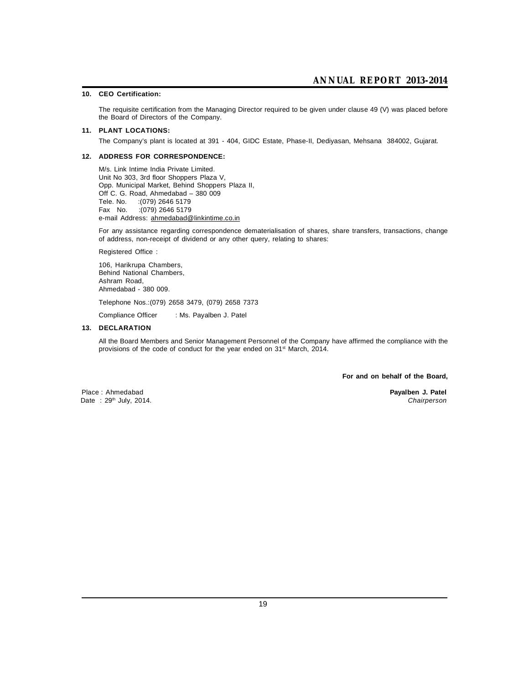### **10. CEO Certification:**

The requisite certification from the Managing Director required to be given under clause 49 (V) was placed before the Board of Directors of the Company.

### **11. PLANT LOCATIONS:**

The Company's plant is located at 391 - 404, GIDC Estate, Phase-II, Dediyasan, Mehsana 384002, Gujarat.

### **12. ADDRESS FOR CORRESPONDENCE:**

M/s. Link Intime India Private Limited. Unit No 303, 3rd floor Shoppers Plaza V, Opp. Municipal Market, Behind Shoppers Plaza II, Off C. G. Road, Ahmedabad – 380 009 Tele. No. : (079) 2646 5179<br>Fax No. : (079) 2646 5179  $:(079)$  2646 5179 e-mail Address: ahmedabad@linkintime.co.in

For any assistance regarding correspondence dematerialisation of shares, share transfers, transactions, change of address, non-receipt of dividend or any other query, relating to shares:

Registered Office :

106, Harikrupa Chambers, Behind National Chambers, Ashram Road, Ahmedabad - 380 009.

Telephone Nos.:(079) 2658 3479, (079) 2658 7373

Compliance Officer : Ms. Payalben J. Patel

### **13. DECLARATION**

All the Board Members and Senior Management Personnel of the Company have affirmed the compliance with the provisions of the code of conduct for the year ended on 31<sup>st</sup> March, 2014.

**For and on behalf of the Board,**

Place : Ahmedabad **Payalben J. Patel** Date : 29<sup>th</sup> July, 2014. **Chairperson** Chairperson **Chairperson**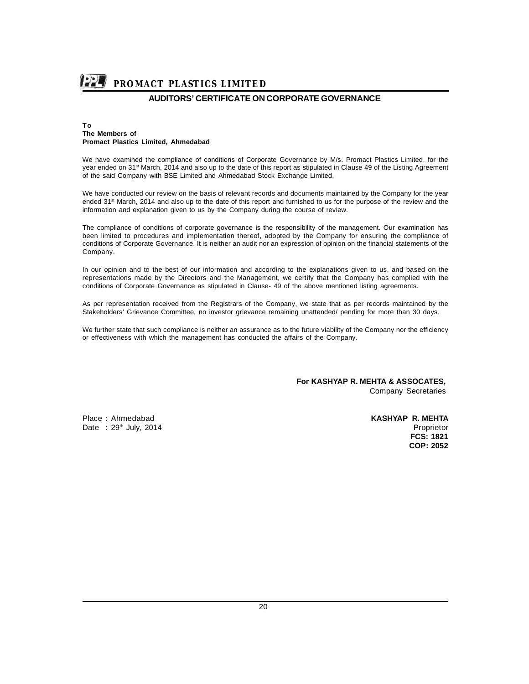

### **AUDITORS' CERTIFICATE ON CORPORATE GOVERNANCE**

### **To The Members of Promact Plastics Limited, Ahmedabad**

We have examined the compliance of conditions of Corporate Governance by M/s. Promact Plastics Limited, for the year ended on 31<sup>st</sup> March, 2014 and also up to the date of this report as stipulated in Clause 49 of the Listing Agreement of the said Company with BSE Limited and Ahmedabad Stock Exchange Limited.

We have conducted our review on the basis of relevant records and documents maintained by the Company for the year ended  $31<sup>st</sup>$  March, 2014 and also up to the date of this report and furnished to us for the purpose of the review and the information and explanation given to us by the Company during the course of review.

The compliance of conditions of corporate governance is the responsibility of the management. Our examination has been limited to procedures and implementation thereof, adopted by the Company for ensuring the compliance of conditions of Corporate Governance. It is neither an audit nor an expression of opinion on the financial statements of the Company.

In our opinion and to the best of our information and according to the explanations given to us, and based on the representations made by the Directors and the Management, we certify that the Company has complied with the conditions of Corporate Governance as stipulated in Clause- 49 of the above mentioned listing agreements.

As per representation received from the Registrars of the Company, we state that as per records maintained by the Stakeholders' Grievance Committee, no investor grievance remaining unattended/ pending for more than 30 days.

We further state that such compliance is neither an assurance as to the future viability of the Company nor the efficiency or effectiveness with which the management has conducted the affairs of the Company.

### **For KASHYAP R. MEHTA & ASSOCATES,** Company Secretaries

Place : Ahmedabad **KASHYAP R. MEHTA** Date : 29<sup>th</sup> July, 2014 Proprietor **FCS: 1821 COP: 2052**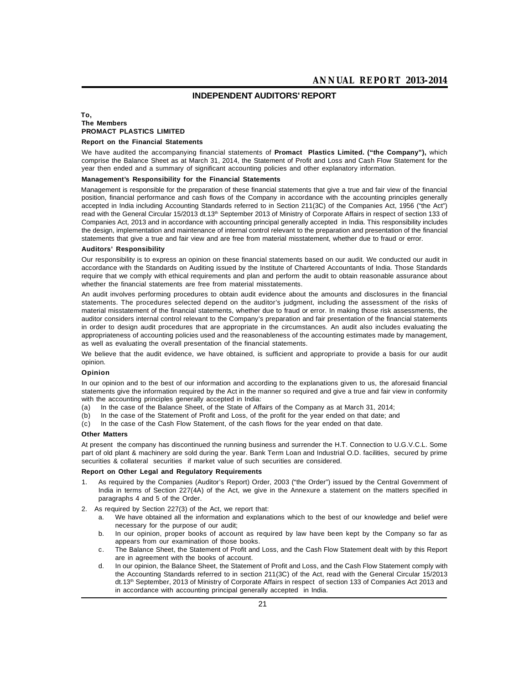# **INDEPENDENT AUDITORS' REPORT**

### **To, The Members PROMACT PLASTICS LIMITED**

### **Report on the Financial Statements**

We have audited the accompanying financial statements of **Promact Plastics Limited. ("the Company"),** which comprise the Balance Sheet as at March 31, 2014, the Statement of Profit and Loss and Cash Flow Statement for the year then ended and a summary of significant accounting policies and other explanatory information.

### **Management's Responsibility for the Financial Statements**

Management is responsible for the preparation of these financial statements that give a true and fair view of the financial position, financial performance and cash flows of the Company in accordance with the accounting principles generally accepted in India including Accounting Standards referred to in Section 211(3C) of the Companies Act, 1956 ("the Act") read with the General Circular 15/2013 dt.13<sup>th</sup> September 2013 of Ministry of Corporate Affairs in respect of section 133 of Companies Act, 2013 and in accordance with accounting principal generally accepted in India. This responsibility includes the design, implementation and maintenance of internal control relevant to the preparation and presentation of the financial statements that give a true and fair view and are free from material misstatement, whether due to fraud or error.

### **Auditors' Responsibility**

Our responsibility is to express an opinion on these financial statements based on our audit. We conducted our audit in accordance with the Standards on Auditing issued by the Institute of Chartered Accountants of India. Those Standards require that we comply with ethical requirements and plan and perform the audit to obtain reasonable assurance about whether the financial statements are free from material misstatements.

An audit involves performing procedures to obtain audit evidence about the amounts and disclosures in the financial statements. The procedures selected depend on the auditor's judgment, including the assessment of the risks of material misstatement of the financial statements, whether due to fraud or error. In making those risk assessments, the auditor considers internal control relevant to the Company's preparation and fair presentation of the financial statements in order to design audit procedures that are appropriate in the circumstances. An audit also includes evaluating the appropriateness of accounting policies used and the reasonableness of the accounting estimates made by management, as well as evaluating the overall presentation of the financial statements.

We believe that the audit evidence, we have obtained, is sufficient and appropriate to provide a basis for our audit opinion.

### **Opinion**

In our opinion and to the best of our information and according to the explanations given to us, the aforesaid financial statements give the information required by the Act in the manner so required and give a true and fair view in conformity with the accounting principles generally accepted in India:

- (a) In the case of the Balance Sheet, of the State of Affairs of the Company as at March 31, 2014;
- (b) In the case of the Statement of Profit and Loss, of the profit for the year ended on that date; and
- (c) In the case of the Cash Flow Statement, of the cash flows for the year ended on that date.

#### **Other Matters**

At present the company has discontinued the running business and surrender the H.T. Connection to U.G.V.C.L. Some part of old plant & machinery are sold during the year. Bank Term Loan and Industrial O.D. facilities, secured by prime securities & collateral securities if market value of such securities are considered.

### **Report on Other Legal and Regulatory Requirements**

- 1. As required by the Companies (Auditor's Report) Order, 2003 ("the Order") issued by the Central Government of India in terms of Section 227(4A) of the Act, we give in the Annexure a statement on the matters specified in paragraphs 4 and 5 of the Order.
- 2. As required by Section 227(3) of the Act, we report that:
	- We have obtained all the information and explanations which to the best of our knowledge and belief were necessary for the purpose of our audit;
	- b. In our opinion, proper books of account as required by law have been kept by the Company so far as appears from our examination of those books.
	- c. The Balance Sheet, the Statement of Profit and Loss, and the Cash Flow Statement dealt with by this Report are in agreement with the books of account.
	- d. In our opinion, the Balance Sheet, the Statement of Profit and Loss, and the Cash Flow Statement comply with the Accounting Standards referred to in section 211(3C) of the Act, read with the General Circular 15/2013 dt. 13<sup>th</sup> September, 2013 of Ministry of Corporate Affairs in respect of section 133 of Companies Act 2013 and in accordance with accounting principal generally accepted in India.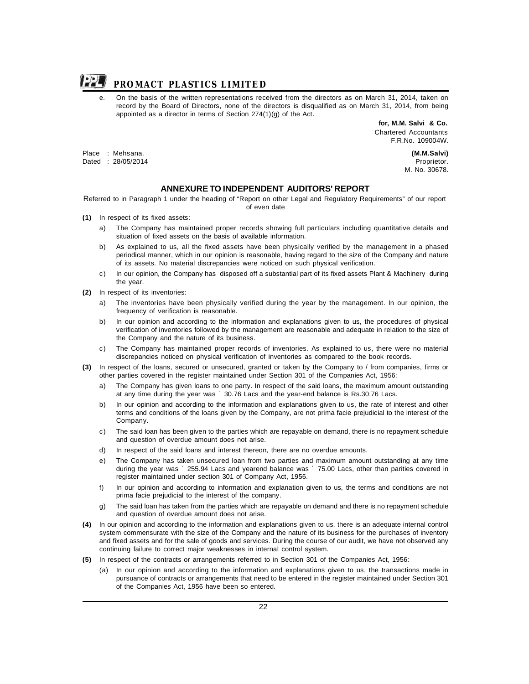

On the basis of the written representations received from the directors as on March 31, 2014, taken on record by the Board of Directors, none of the directors is disqualified as on March 31, 2014, from being appointed as a director in terms of Section 274(1)(g) of the Act.

> **for, M.M. Salvi & Co.** Chartered Accountants F.R.No. 109004W.

Place : Mehsana. **(M.M.Salvi)**

Dated : 28/05/2014 Proprietor.

M. No. 30678.

### **ANNEXURE TO INDEPENDENT AUDITORS' REPORT**

Referred to in Paragraph 1 under the heading of "Report on other Legal and Regulatory Requirements" of our report of even date

- **(1)** In respect of its fixed assets:
	- a) The Company has maintained proper records showing full particulars including quantitative details and situation of fixed assets on the basis of available information.
	- b) As explained to us, all the fixed assets have been physically verified by the management in a phased periodical manner, which in our opinion is reasonable, having regard to the size of the Company and nature of its assets. No material discrepancies were noticed on such physical verification.
	- c) In our opinion, the Company has disposed off a substantial part of its fixed assets Plant & Machinery during the year.
- **(2)** In respect of its inventories:
	- a) The inventories have been physically verified during the year by the management. In our opinion, the frequency of verification is reasonable.
	- b) In our opinion and according to the information and explanations given to us, the procedures of physical verification of inventories followed by the management are reasonable and adequate in relation to the size of the Company and the nature of its business.
	- c) The Company has maintained proper records of inventories. As explained to us, there were no material discrepancies noticed on physical verification of inventories as compared to the book records.
- **(3)** In respect of the loans, secured or unsecured, granted or taken by the Company to / from companies, firms or other parties covered in the register maintained under Section 301 of the Companies Act, 1956:
	- a) The Company has given loans to one party. In respect of the said loans, the maximum amount outstanding at any time during the year was ` 30.76 Lacs and the year-end balance is Rs.30.76 Lacs.
	- b) In our opinion and according to the information and explanations given to us, the rate of interest and other terms and conditions of the loans given by the Company, are not prima facie prejudicial to the interest of the Company.
	- c) The said loan has been given to the parties which are repayable on demand, there is no repayment schedule and question of overdue amount does not arise.
	- d) In respect of the said loans and interest thereon, there are no overdue amounts.
	- e) The Company has taken unsecured loan from two parties and maximum amount outstanding at any time during the year was ` 255.94 Lacs and yearend balance was ` 75.00 Lacs, other than parities covered in register maintained under section 301 of Company Act, 1956.
	- f) In our opinion and according to information and explanation given to us, the terms and conditions are not prima facie prejudicial to the interest of the company.
	- g) The said loan has taken from the parties which are repayable on demand and there is no repayment schedule and question of overdue amount does not arise.
- **(4)** In our opinion and according to the information and explanations given to us, there is an adequate internal control system commensurate with the size of the Company and the nature of its business for the purchases of inventory and fixed assets and for the sale of goods and services. During the course of our audit, we have not observed any continuing failure to correct major weaknesses in internal control system.
- **(5)** In respect of the contracts or arrangements referred to in Section 301 of the Companies Act, 1956:
	- (a) In our opinion and according to the information and explanations given to us, the transactions made in pursuance of contracts or arrangements that need to be entered in the register maintained under Section 301 of the Companies Act, 1956 have been so entered.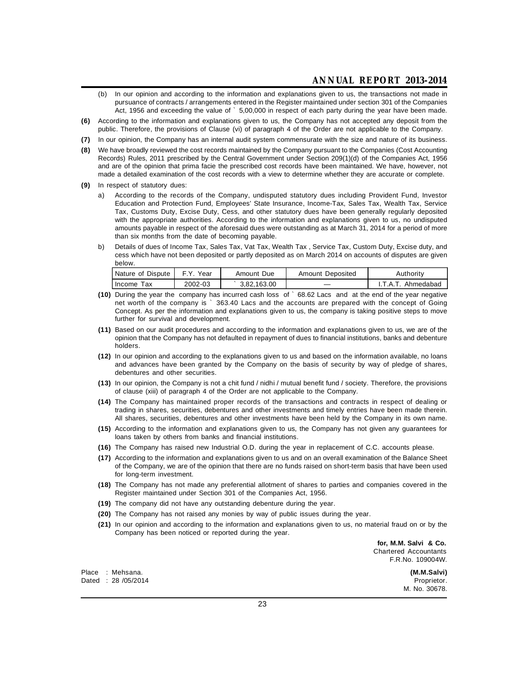- (b) In our opinion and according to the information and explanations given to us, the transactions not made in pursuance of contracts / arrangements entered in the Register maintained under section 301 of the Companies Act, 1956 and exceeding the value of ` 5,00,000 in respect of each party during the year have been made.
- **(6)** According to the information and explanations given to us, the Company has not accepted any deposit from the public. Therefore, the provisions of Clause (vi) of paragraph 4 of the Order are not applicable to the Company.
- **(7)** In our opinion, the Company has an internal audit system commensurate with the size and nature of its business.
- **(8)** We have broadly reviewed the cost records maintained by the Company pursuant to the Companies (Cost Accounting Records) Rules, 2011 prescribed by the Central Government under Section 209(1)(d) of the Companies Act, 1956 and are of the opinion that prima facie the prescribed cost records have been maintained. We have, however, not made a detailed examination of the cost records with a view to determine whether they are accurate or complete.
- **(9)** In respect of statutory dues:
	- a) According to the records of the Company, undisputed statutory dues including Provident Fund, Investor Education and Protection Fund, Employees' State Insurance, Income-Tax, Sales Tax, Wealth Tax, Service Tax, Customs Duty, Excise Duty, Cess, and other statutory dues have been generally regularly deposited with the appropriate authorities. According to the information and explanations given to us, no undisputed amounts payable in respect of the aforesaid dues were outstanding as at March 31, 2014 for a period of more than six months from the date of becoming payable.
	- b) Details of dues of Income Tax, Sales Tax, Vat Tax, Wealth Tax , Service Tax, Custom Duty, Excise duty, and cess which have not been deposited or partly deposited as on March 2014 on accounts of disputes are given below.

| Nature of Dispute | Year<br>► | Amount Due  | Amount Deposited | Authority |
|-------------------|-----------|-------------|------------------|-----------|
| Income<br>l ax    | 2002-03   | 3.82.163.00 | _                | Ahmedabad |

- **(10)** During the year the company has incurred cash loss of ` 68.62 Lacs and at the end of the year negative net worth of the company is ` 363.40 Lacs and the accounts are prepared with the concept of Going Concept. As per the information and explanations given to us, the company is taking positive steps to move further for survival and development.
- **(11)** Based on our audit procedures and according to the information and explanations given to us, we are of the opinion that the Company has not defaulted in repayment of dues to financial institutions, banks and debenture holders.
- **(12)** In our opinion and according to the explanations given to us and based on the information available, no loans and advances have been granted by the Company on the basis of security by way of pledge of shares, debentures and other securities.
- **(13)** In our opinion, the Company is not a chit fund / nidhi / mutual benefit fund / society. Therefore, the provisions of clause (xiii) of paragraph 4 of the Order are not applicable to the Company.
- **(14)** The Company has maintained proper records of the transactions and contracts in respect of dealing or trading in shares, securities, debentures and other investments and timely entries have been made therein. All shares, securities, debentures and other investments have been held by the Company in its own name.
- **(15)** According to the information and explanations given to us, the Company has not given any guarantees for loans taken by others from banks and financial institutions.
- **(16)** The Company has raised new Industrial O.D. during the year in replacement of C.C. accounts please.
- **(17)** According to the information and explanations given to us and on an overall examination of the Balance Sheet of the Company, we are of the opinion that there are no funds raised on short-term basis that have been used for long-term investment.
- **(18)** The Company has not made any preferential allotment of shares to parties and companies covered in the Register maintained under Section 301 of the Companies Act, 1956.
- **(19)** The company did not have any outstanding debenture during the year.
- **(20)** The Company has not raised any monies by way of public issues during the year.
- **(21)** In our opinion and according to the information and explanations given to us, no material fraud on or by the Company has been noticed or reported during the year.

**for, M.M. Salvi & Co.** Chartered Accountants F.R.No. 109004W.

Place : Mehsana. **(M.M.Salvi)** Dated : 28 /05/2014 **Proprietor.** 

M. No. 30678.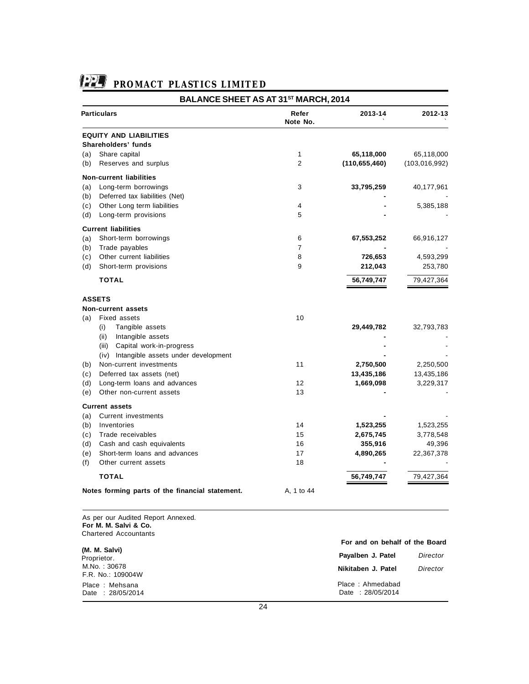| <b>Particulars</b>                              | Refer<br>Note No. | 2013-14         | 2012-13         |
|-------------------------------------------------|-------------------|-----------------|-----------------|
| <b>EQUITY AND LIABILITIES</b>                   |                   |                 |                 |
| Shareholders' funds                             |                   |                 |                 |
| (a)<br>Share capital                            | $\mathbf{1}$      | 65,118,000      | 65,118,000      |
| Reserves and surplus<br>(b)                     | $\overline{2}$    | (110, 655, 460) | (103, 016, 992) |
| <b>Non-current liabilities</b>                  |                   |                 |                 |
| Long-term borrowings<br>(a)                     | 3                 | 33,795,259      | 40,177,961      |
| Deferred tax liabilities (Net)<br>(b)           |                   |                 |                 |
| Other Long term liabilities<br>(c)              | 4                 |                 | 5,385,188       |
| (d)<br>Long-term provisions                     | 5                 |                 |                 |
| <b>Current liabilities</b>                      |                   |                 |                 |
| Short-term borrowings<br>(a)                    | 6                 | 67,553,252      | 66,916,127      |
| (b)<br>Trade payables                           | $\overline{7}$    |                 |                 |
| (c)<br>Other current liabilities                | 8                 | 726,653         | 4,593,299       |
| (d)<br>Short-term provisions                    | 9                 | 212,043         | 253,780         |
| <b>TOTAL</b>                                    |                   | 56,749,747      | 79,427,364      |
| <b>ASSETS</b>                                   |                   |                 |                 |
| Non-current assets                              |                   |                 |                 |
| (a)<br>Fixed assets                             | 10                |                 |                 |
| (i)<br>Tangible assets                          |                   | 29,449,782      | 32,793,783      |
| Intangible assets<br>(ii)                       |                   |                 |                 |
| Capital work-in-progress<br>(iii)               |                   |                 |                 |
| (iv)<br>Intangible assets under development     |                   |                 |                 |
| Non-current investments<br>(b)                  | 11                | 2,750,500       | 2,250,500       |
| (c)<br>Deferred tax assets (net)                |                   | 13,435,186      | 13,435,186      |
| (d)<br>Long-term loans and advances             | 12                | 1,669,098       | 3,229,317       |
| (e)<br>Other non-current assets                 | 13                |                 |                 |
| <b>Current assets</b>                           |                   |                 |                 |
| (a)<br>Current investments                      |                   |                 |                 |
| (b)<br>Inventories                              | 14                | 1,523,255       | 1,523,255       |
| (c)<br>Trade receivables                        | 15                | 2,675,745       | 3,778,548       |
| (d)<br>Cash and cash equivalents                | 16                | 355,916         | 49,396          |
| (e)<br>Short-term loans and advances            | 17                | 4,890,265       | 22,367,378      |
| (f)<br>Other current assets                     | 18                |                 |                 |
| <b>TOTAL</b>                                    |                   | 56,749,747      | 79,427,364      |
| Notes forming parts of the financial statement. | A, 1 to 44        |                 |                 |

As per our Audited Report Annexed. **For M. M. Salvi & Co.** Chartered Accountants

|                                    | For and on behalf of the Board       |          |
|------------------------------------|--------------------------------------|----------|
| (M. M. Salvi)<br>Proprietor.       | Payalben J. Patel                    | Director |
| M.No.:30678<br>F.R. No.: 109004W   | Nikitaben J. Patel                   | Director |
| Place: Mehsana<br>Date: 28/05/2014 | Place: Ahmedabad<br>Date: 28/05/2014 |          |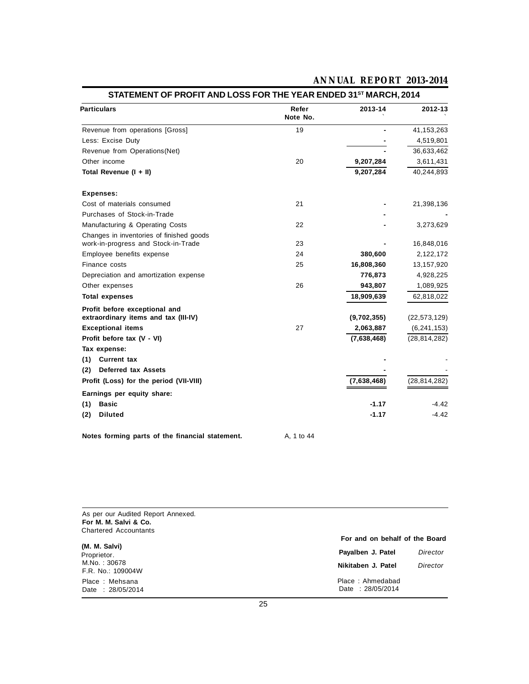| <b>Particulars</b>                              | Refer      | 2013-14     | 2012-13        |
|-------------------------------------------------|------------|-------------|----------------|
|                                                 | Note No.   |             |                |
| Revenue from operations [Gross]                 | 19         |             | 41,153,263     |
| Less: Excise Duty                               |            |             | 4,519,801      |
| Revenue from Operations (Net)                   |            |             | 36,633,462     |
| Other income                                    | 20         | 9,207,284   | 3,611,431      |
| Total Revenue (I + II)                          |            | 9,207,284   | 40,244,893     |
| <b>Expenses:</b>                                |            |             |                |
| Cost of materials consumed                      | 21         |             | 21,398,136     |
| Purchases of Stock-in-Trade                     |            |             |                |
| Manufacturing & Operating Costs                 | 22         |             | 3,273,629      |
| Changes in inventories of finished goods        |            |             |                |
| work-in-progress and Stock-in-Trade             | 23         |             | 16,848,016     |
| Employee benefits expense                       | 24         | 380,600     | 2,122,172      |
| Finance costs                                   | 25         | 16,808,360  | 13, 157, 920   |
| Depreciation and amortization expense           |            | 776,873     | 4,928,225      |
| Other expenses                                  | 26         | 943,807     | 1,089,925      |
| <b>Total expenses</b>                           |            | 18,909,639  | 62,818,022     |
| Profit before exceptional and                   |            |             |                |
| extraordinary items and tax (III-IV)            |            | (9,702,355) | (22, 573, 129) |
| <b>Exceptional items</b>                        | 27         | 2,063,887   | (6, 241, 153)  |
| Profit before tax (V - VI)                      |            | (7,638,468) | (28, 814, 282) |
| Tax expense:                                    |            |             |                |
| (1)<br><b>Current tax</b>                       |            |             |                |
| <b>Deferred tax Assets</b><br>(2)               |            |             |                |
| Profit (Loss) for the period (VII-VIII)         |            | (7,638,468) | (28, 814, 282) |
| Earnings per equity share:                      |            |             |                |
| <b>Basic</b><br>(1)                             |            | $-1.17$     | $-4.42$        |
| <b>Diluted</b><br>(2)                           |            | $-1.17$     | $-4.42$        |
| Notes forming parts of the financial statement. | A, 1 to 44 |             |                |

# **STATEMENT OF PROFIT AND LOSS FOR THE YEAR ENDED 31<sup>st</sup> MARCH, 2014**

**ANNUAL REPORT 2013-2014**

| As per our Audited Report Annexed.<br>For M. M. Salvi & Co. |                                |
|-------------------------------------------------------------|--------------------------------|
| <b>Chartered Accountants</b>                                | For and on behalf of the Board |
| (M. M. Salvi)                                               | Payalben J. Patel              |
| Proprietor.                                                 | Director                       |
| M.No.: 30678                                                | Nikitaben J. Patel             |
| F.R. No.: 109004W                                           | Director                       |
| Place: Mehsana                                              | Place: Ahmedabad               |
| Date: 28/05/2014                                            | Date: 28/05/2014               |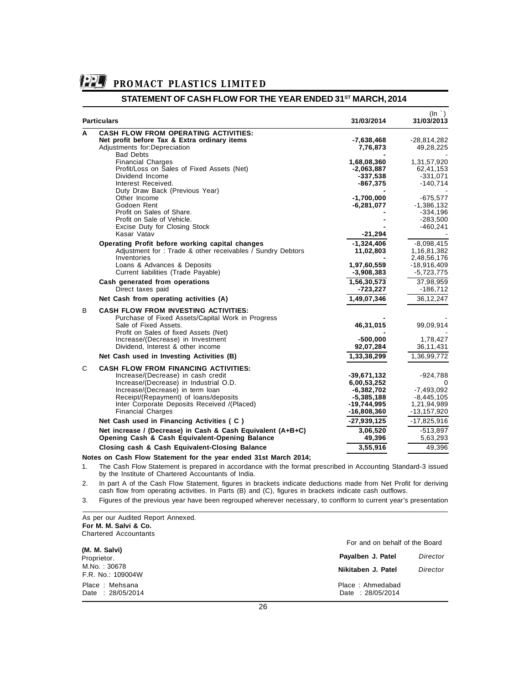

|   | <b>Particulars</b>                                                                                                                                                                                                                                                                  | 31/03/2014                                                                                     | $(\ln \cdot)$<br>31/03/2013                                                     |
|---|-------------------------------------------------------------------------------------------------------------------------------------------------------------------------------------------------------------------------------------------------------------------------------------|------------------------------------------------------------------------------------------------|---------------------------------------------------------------------------------|
| A | <b>CASH FLOW FROM OPERATING ACTIVITIES:</b><br>Net profit before Tax & Extra ordinary items<br>Adjustments for: Depreciation                                                                                                                                                        | $-7,638,468$<br>7,76,873                                                                       | $-28,814,282$<br>49,28,225                                                      |
|   | <b>Bad Debts</b><br><b>Financial Charges</b><br>Profit/Loss on Sales of Fixed Assets (Net)<br>Dividend Income<br>Interest Received.                                                                                                                                                 | 1,68,08,360<br>$-2,063,887$<br>$-337,538$<br>$-867,375$                                        | 1,31,57,920<br>62,41,153<br>$-331,071$<br>$-140,714$                            |
|   | Duty Draw Back (Previous Year)<br>Other Income<br>Godoen Rent<br>Profit on Sales of Share.<br>Profit on Sale of Vehicle.<br>Excise Duty for Closing Stock<br>Kasar Vatav                                                                                                            | $-1,700,000$<br>$-6,281,077$<br>$-21,294$                                                      | $-675,577$<br>$-1,386,132$<br>$-334,196$<br>$-283,500$<br>$-460,241$            |
|   | Operating Profit before working capital changes<br>Adjustment for: Trade & other receivables / Sundry Debtors<br>Inventories<br>Loans & Advances & Deposits<br>Current liabilities (Trade Payable)                                                                                  | $-1,324,406$<br>11,02,803<br>1,97,60,559<br>$-3,908,383$                                       | $-8,098,415$<br>1, 16, 81, 382<br>2,48,56,176<br>$-18,916,409$<br>$-5,723,775$  |
|   | Cash generated from operations<br>Direct taxes paid                                                                                                                                                                                                                                 | 1,56,30,573<br>-723,227                                                                        | 37,98,959<br>$-186,712$                                                         |
|   | Net Cash from operating activities (A)                                                                                                                                                                                                                                              | 1,49,07,346                                                                                    | 36,12,247                                                                       |
| B | <b>CASH FLOW FROM INVESTING ACTIVITIES:</b><br>Purchase of Fixed Assets/Capital Work in Progress<br>Sale of Fixed Assets.<br>Profit on Sales of fixed Assets (Net)<br>Increase/(Decrease) in Investment<br>Dividend, Interest & other income                                        | 46,31,015<br>$-500,000$<br>92,07,284                                                           | 99,09,914<br>1,78,427<br>36,11,431                                              |
|   | Net Cash used in Investing Activities (B)                                                                                                                                                                                                                                           | 1,33,38,299                                                                                    | 1,36,99,772                                                                     |
| C | <b>CASH FLOW FROM FINANCING ACTIVITIES:</b><br>Increase/(Decrease) in cash credit<br>Increase/(Decrease) in Industrial O.D.<br>Increase/(Decrease) in term loan<br>Receipt/(Repayment) of loans/deposits<br>Inter Corporate Deposits Received /(Placed)<br><b>Financial Charges</b> | $-39,671,132$<br>6,00,53,252<br>$-6,382,702$<br>$-5,385,188$<br>$-19,744,995$<br>$-16,808,360$ | $-924,788$<br>0<br>$-7,493,092$<br>-8,445,105<br>1,21,94,989<br>$-13, 157, 920$ |
|   | Net Cash used in Financing Activities (C)                                                                                                                                                                                                                                           | $-27,939,125$                                                                                  | $-17,825,916$                                                                   |
|   | Net increase / (Decrease) in Cash & Cash Equivalent (A+B+C)<br>Opening Cash & Cash Equivalent-Opening Balance                                                                                                                                                                       | 3,06,520<br>49,396                                                                             | $-513,897$<br>5,63,293                                                          |
|   | Closing cash & Cash Equivalent-Closing Balance                                                                                                                                                                                                                                      | 3,55,916                                                                                       | 49,396                                                                          |

### **STATEMENT OF CASH FLOW FOR THE YEAR ENDED ST 31 MARCH, 2014**

**Notes on Cash Flow Statement for the year ended 31st March 2014;**

1. The Cash Flow Statement is prepared in accordance with the format prescribed in Accounting Standard-3 issued by the Institute of Chartered Accountants of India.

2. In part A of the Cash Flow Statement, figures in brackets indicate deductions made from Net Profit for deriving cash flow from operating activities. In Parts (B) and (C), figures in brackets indicate cash outflows.

3. Figures of the previous year have been regrouped wherever necessary, to confform to current year's presentation

As per our Audited Report Annexed. **For M. M. Salvi & Co.** Chartered Accountants

|                                                                  | For and on behalf of the Board          |                      |  |  |
|------------------------------------------------------------------|-----------------------------------------|----------------------|--|--|
| (M. M. Salvi)<br>Proprietor.<br>M.No.:30678<br>F.R. No.: 109004W | Payalben J. Patel<br>Nikitaben J. Patel | Director<br>Director |  |  |
| Place: Mehsana<br>Date: 28/05/2014                               | Place: Ahmedabad<br>Date: 28/05/2014    |                      |  |  |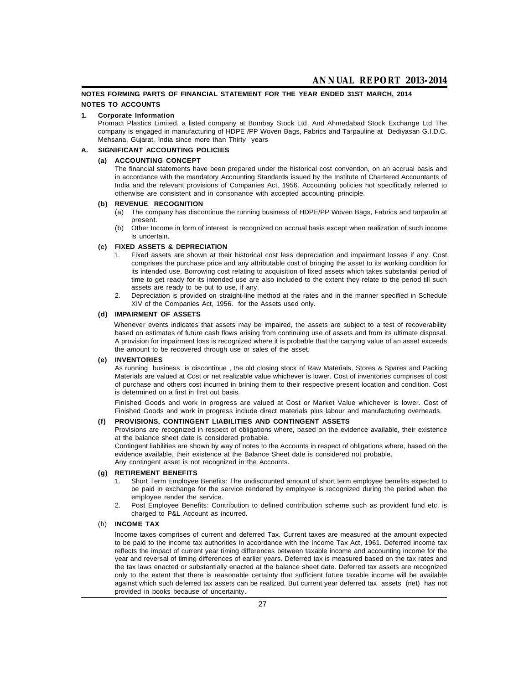### **NOTES FORMING PARTS OF FINANCIAL STATEMENT FOR THE YEAR ENDED 31ST MARCH, 2014 NOTES TO ACCOUNTS**

### **1. Corporate Information**

Promact Plastics Limited. a listed company at Bombay Stock Ltd. And Ahmedabad Stock Exchange Ltd The company is engaged in manufacturing of HDPE /PP Woven Bags, Fabrics and Tarpauline at Dediyasan G.I.D.C. Mehsana, Gujarat, India since more than Thirty years

### **A. SIGNIFICANT ACCOUNTING POLICIES**

### **(a) ACCOUNTING CONCEPT**

The financial statements have been prepared under the historical cost convention, on an accrual basis and in accordance with the mandatory Accounting Standards issued by the Institute of Chartered Accountants of India and the relevant provisions of Companies Act, 1956. Accounting policies not specifically referred to otherwise are consistent and in consonance with accepted accounting principle.

### **(b) REVENUE RECOGNITION**

- (a) The company has discontinue the running business of HDPE/PP Woven Bags, Fabrics and tarpaulin at present.
- (b) Other Income in form of interest is recognized on accrual basis except when realization of such income is uncertain.

### **(c) FIXED ASSETS & DEPRECIATION**

- 1. Fixed assets are shown at their historical cost less depreciation and impairment losses if any. Cost comprises the purchase price and any attributable cost of bringing the asset to its working condition for its intended use. Borrowing cost relating to acquisition of fixed assets which takes substantial period of time to get ready for its intended use are also included to the extent they relate to the period till such assets are ready to be put to use, if any.
- 2. Depreciation is provided on straight-line method at the rates and in the manner specified in Schedule XIV of the Companies Act, 1956. for the Assets used only.

### **(d) IMPAIRMENT OF ASSETS**

Whenever events indicates that assets may be impaired, the assets are subject to a test of recoverability based on estimates of future cash flows arising from continuing use of assets and from its ultimate disposal. A provision for impairment loss is recognized where it is probable that the carrying value of an asset exceeds the amount to be recovered through use or sales of the asset.

### **(e) INVENTORIES**

As running business is discontinue , the old closing stock of Raw Materials, Stores & Spares and Packing Materials are valued at Cost or net realizable value whichever is lower. Cost of inventories comprises of cost of purchase and others cost incurred in brining them to their respective present location and condition. Cost is determined on a first in first out basis.

Finished Goods and work in progress are valued at Cost or Market Value whichever is lower. Cost of Finished Goods and work in progress include direct materials plus labour and manufacturing overheads.

### **(f) PROVISIONS, CONTINGENT LIABILITIES AND CONTINGENT ASSETS**

Provisions are recognized in respect of obligations where, based on the evidence available, their existence at the balance sheet date is considered probable.

Contingent liabilities are shown by way of notes to the Accounts in respect of obligations where, based on the evidence available, their existence at the Balance Sheet date is considered not probable. Any contingent asset is not recognized in the Accounts.

### **(g) RETIREMENT BENEFITS**

- Short Term Employee Benefits: The undiscounted amount of short term employee benefits expected to be paid in exchange for the service rendered by employee is recognized during the period when the employee render the service.
- 2. Post Employee Benefits: Contribution to defined contribution scheme such as provident fund etc. is charged to P&L Account as incurred.

### (h) **INCOME TAX**

Income taxes comprises of current and deferred Tax. Current taxes are measured at the amount expected to be paid to the income tax authorities in accordance with the Income Tax Act, 1961. Deferred income tax reflects the impact of current year timing differences between taxable income and accounting income for the year and reversal of timing differences of earlier years. Deferred tax is measured based on the tax rates and the tax laws enacted or substantially enacted at the balance sheet date. Deferred tax assets are recognized only to the extent that there is reasonable certainty that sufficient future taxable income will be available against which such deferred tax assets can be realized. But current year deferred tax assets (net) has not provided in books because of uncertainty.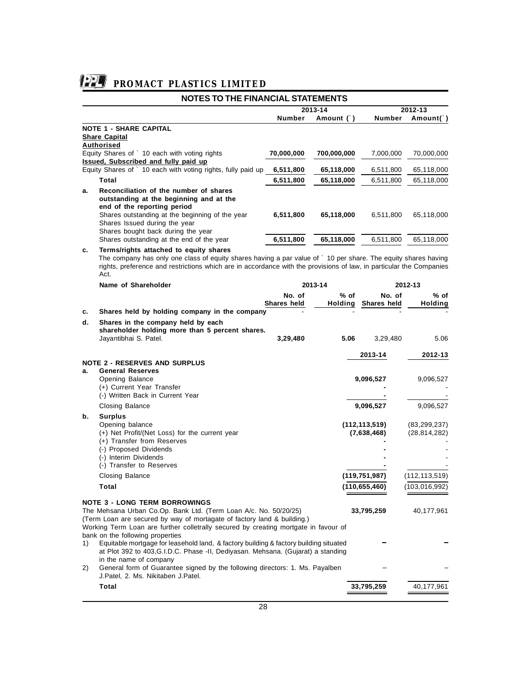|          | <b>NOTES TO THE FINANCIAL STATEMENTS</b>                                                                                                                                                                                                                                                                                                                                                                                                                                                                              |             |              |                                |                                  |
|----------|-----------------------------------------------------------------------------------------------------------------------------------------------------------------------------------------------------------------------------------------------------------------------------------------------------------------------------------------------------------------------------------------------------------------------------------------------------------------------------------------------------------------------|-------------|--------------|--------------------------------|----------------------------------|
|          |                                                                                                                                                                                                                                                                                                                                                                                                                                                                                                                       |             | 2013-14      |                                | 2012-13                          |
|          |                                                                                                                                                                                                                                                                                                                                                                                                                                                                                                                       | Number      | Amount $( )$ | Number                         | Amount(`)                        |
|          | <b>NOTE 1 - SHARE CAPITAL</b><br><b>Share Capital</b><br>Authorised                                                                                                                                                                                                                                                                                                                                                                                                                                                   |             |              |                                |                                  |
|          | Equity Shares of 10 each with voting rights<br><b>Issued, Subscribed and fully paid up</b>                                                                                                                                                                                                                                                                                                                                                                                                                            | 70,000,000  | 700,000,000  | 7,000,000                      | 70,000,000                       |
|          | Equity Shares of ` 10 each with voting rights, fully paid up                                                                                                                                                                                                                                                                                                                                                                                                                                                          | 6,511,800   | 65,118,000   | 6,511,800                      | 65,118,000                       |
|          | <b>Total</b>                                                                                                                                                                                                                                                                                                                                                                                                                                                                                                          | 6,511,800   | 65,118,000   | 6,511,800                      | 65,118,000                       |
| a.       | Reconciliation of the number of shares<br>outstanding at the beginning and at the<br>end of the reporting period<br>Shares outstanding at the beginning of the year<br>Shares Issued during the year                                                                                                                                                                                                                                                                                                                  | 6,511,800   | 65,118,000   | 6,511,800                      | 65,118,000                       |
|          | Shares bought back during the year<br>Shares outstanding at the end of the year                                                                                                                                                                                                                                                                                                                                                                                                                                       | 6,511,800   | 65,118,000   | 6,511,800                      | 65,118,000                       |
| с.       | Terms/rights attached to equity shares<br>The company has only one class of equity shares having a par value of ` 10 per share. The equity shares having<br>rights, preference and restrictions which are in accordance with the provisions of law, in particular the Companies<br>Act.                                                                                                                                                                                                                               |             |              |                                |                                  |
|          | Name of Shareholder                                                                                                                                                                                                                                                                                                                                                                                                                                                                                                   |             | 2013-14      |                                | 2012-13                          |
|          |                                                                                                                                                                                                                                                                                                                                                                                                                                                                                                                       | No. of      | $%$ of       | No. of                         | % of                             |
|          | Shares held by holding company in the company                                                                                                                                                                                                                                                                                                                                                                                                                                                                         | Shares held | Holding      | Shares held                    | <b>Holding</b>                   |
| с.<br>d. | Shares in the company held by each<br>shareholder holding more than 5 percent shares.                                                                                                                                                                                                                                                                                                                                                                                                                                 |             |              |                                |                                  |
|          | Jayantibhai S. Patel.                                                                                                                                                                                                                                                                                                                                                                                                                                                                                                 | 3,29,480    | 5.06         | 3,29,480                       | 5.06                             |
| a.       | <b>NOTE 2 - RESERVES AND SURPLUS</b><br><b>General Reserves</b><br>Opening Balance<br>(+) Current Year Transfer<br>(-) Written Back in Current Year                                                                                                                                                                                                                                                                                                                                                                   |             |              | 2013-14<br>9,096,527           | 2012-13<br>9,096,527             |
|          | Closing Balance                                                                                                                                                                                                                                                                                                                                                                                                                                                                                                       |             |              | 9,096,527                      | 9,096,527                        |
| b.       | <b>Surplus</b><br>Opening balance<br>(+) Net Profit/(Net Loss) for the current year<br>(+) Transfer from Reserves<br>(-) Proposed Dividends<br>(-) Interim Dividends<br>(-) Transfer to Reserves                                                                                                                                                                                                                                                                                                                      |             |              | (112, 113, 519)<br>(7,638,468) | (83, 299, 237)<br>(28, 814, 282) |
|          | <b>Closing Balance</b>                                                                                                                                                                                                                                                                                                                                                                                                                                                                                                |             |              | (119, 751, 987)                | (112, 113, 519)                  |
|          | Total                                                                                                                                                                                                                                                                                                                                                                                                                                                                                                                 |             |              | (110, 655, 460)                | (103, 016, 992)                  |
| 1)       | <b>NOTE 3 - LONG TERM BORROWINGS</b><br>The Mehsana Urban Co.Op. Bank Ltd. (Term Loan A/c. No. 50/20/25)<br>(Term Loan are secured by way of mortagate of factory land & building.)<br>Working Term Loan are further colletrally secured by creating mortgate in favour of<br>bank on the following properties<br>Equitable mortgage for leasehold land, & factory building & factory building situated<br>at Plot 392 to 403, G.I.D.C. Phase -II, Dediyasan. Mehsana. (Gujarat) a standing<br>in the name of company |             |              | 33,795,259                     | 40,177,961                       |
| 2)       | General form of Guarantee signed by the following directors: 1. Ms. Payalben<br>J.Patel, 2. Ms. Nikitaben J.Patel.                                                                                                                                                                                                                                                                                                                                                                                                    |             |              |                                |                                  |
|          | Total                                                                                                                                                                                                                                                                                                                                                                                                                                                                                                                 |             |              | 33,795,259                     | 40,177,961                       |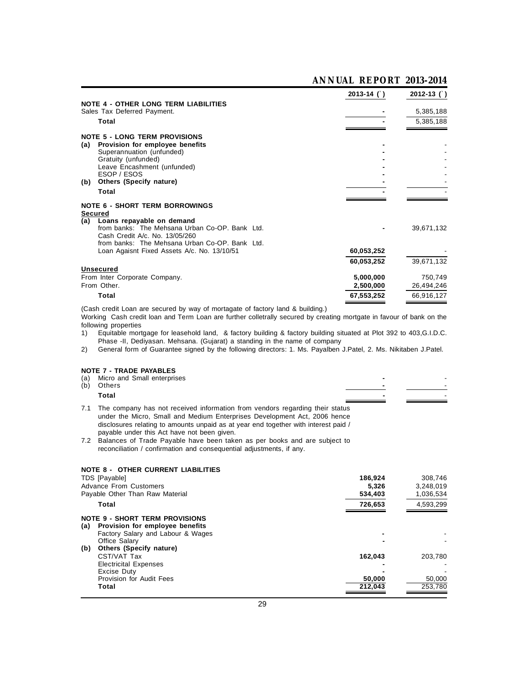|                                                                                  | $2013 - 14$ (1) | $2012 - 13$ (1) |
|----------------------------------------------------------------------------------|-----------------|-----------------|
| <b>NOTE 4 - OTHER LONG TERM LIABILITIES</b>                                      |                 |                 |
| Sales Tax Deferred Payment.                                                      |                 | 5,385,188       |
| Total                                                                            |                 | 5,385,188       |
| <b>NOTE 5 - LONG TERM PROVISIONS</b>                                             |                 |                 |
| Provision for employee benefits<br>(a)                                           |                 |                 |
| Superannuation (unfunded)                                                        |                 |                 |
| Gratuity (unfunded)<br>Leave Encashment (unfunded)                               |                 |                 |
| ESOP / ESOS                                                                      |                 |                 |
| Others (Specify nature)<br>(b)                                                   |                 |                 |
| Total                                                                            |                 |                 |
| NOTE 6 - SHORT TERM BORROWINGS<br><b>Secured</b>                                 |                 |                 |
| Loans repayable on demand<br>(a)                                                 |                 |                 |
| from banks: The Mehsana Urban Co-OP. Bank Ltd.<br>Cash Credit A/c. No. 13/05/260 |                 | 39,671,132      |
| from banks: The Mehsana Urban Co-OP. Bank Ltd.                                   |                 |                 |
| Loan Agaisnt Fixed Assets A/c. No. 13/10/51                                      | 60,053,252      |                 |
|                                                                                  | 60,053,252      | 39,671,132      |
| <b>Unsecured</b>                                                                 |                 |                 |
| From Inter Corporate Company.                                                    | 5,000,000       | 750,749         |
| From Other.                                                                      | 2,500,000       | 26,494,246      |
| Total                                                                            | 67,553,252      | 66,916,127      |

(Cash credit Loan are secured by way of mortagate of factory land & building.)

Working Cash credit loan and Term Loan are further colletrally secured by creating mortgate in favour of bank on the following properties

1) Equitable mortgage for leasehold land, & factory building & factory building situated at Plot 392 to 403,G.I.D.C. Phase -II, Dediyasan. Mehsana. (Gujarat) a standing in the name of company

2) General form of Guarantee signed by the following directors: 1. Ms. Payalben J.Patel, 2. Ms. Nikitaben J.Patel.

### **NOTE 7 - TRADE PAYABLES**

| Micro and Small enterprises<br>(a)<br>Others<br>(b)                                                                                                                                                                                                     |         |           |
|---------------------------------------------------------------------------------------------------------------------------------------------------------------------------------------------------------------------------------------------------------|---------|-----------|
| Total                                                                                                                                                                                                                                                   |         |           |
| The company has not received information from vendors regarding their status<br>7.1<br>under the Micro, Small and Medium Enterprises Development Act, 2006 hence<br>disclosures relating to amounts unpaid as at year end together with interest paid / |         |           |
| payable under this Act have not been given.<br>Balances of Trade Payable have been taken as per books and are subject to<br>7.2<br>reconciliation / confirmation and consequential adjustments, if any.                                                 |         |           |
| <b>NOTE 8 - OTHER CURRENT LIABILITIES</b>                                                                                                                                                                                                               |         |           |
| TDS [Payable]                                                                                                                                                                                                                                           | 186,924 | 308,746   |
| <b>Advance From Customers</b>                                                                                                                                                                                                                           | 5,326   | 3,248,019 |
| Payable Other Than Raw Material                                                                                                                                                                                                                         | 534,403 | 1,036,534 |
| Total                                                                                                                                                                                                                                                   | 726,653 | 4,593,299 |
| NOTE 9 - SHORT TERM PROVISIONS                                                                                                                                                                                                                          |         |           |
| Provision for employee benefits<br>(a)                                                                                                                                                                                                                  |         |           |
| Factory Salary and Labour & Wages                                                                                                                                                                                                                       |         |           |
| Office Salary<br>Others (Specify nature)                                                                                                                                                                                                                |         |           |
| (b)<br>CST/VAT Tax                                                                                                                                                                                                                                      | 162,043 | 203,780   |
| <b>Electricital Expenses</b>                                                                                                                                                                                                                            |         |           |
| <b>Excise Duty</b>                                                                                                                                                                                                                                      |         |           |
| Provision for Audit Fees                                                                                                                                                                                                                                | 50,000  | 50,000    |
| Total                                                                                                                                                                                                                                                   | 212,043 | 253,780   |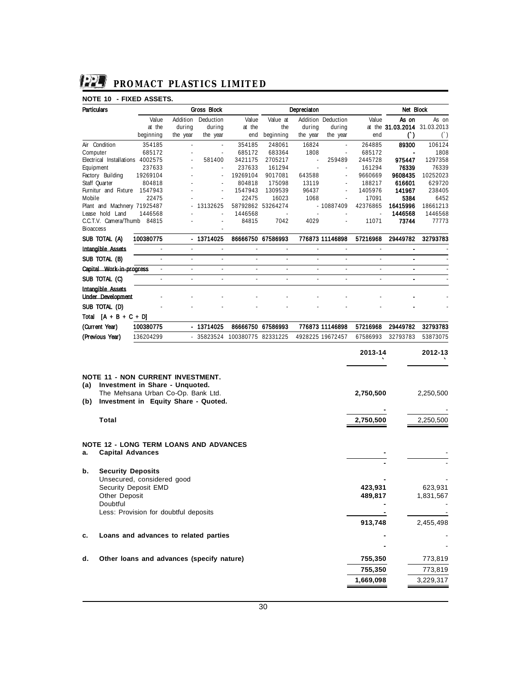### **NOTE 10 - FIXED ASSETS.**

| <b>Particulars</b>                                   |                                                                       |                          | <b>Gross Block</b>       |                               |                          | Depreciaton |                          |                          | Net Block                                                   |              |
|------------------------------------------------------|-----------------------------------------------------------------------|--------------------------|--------------------------|-------------------------------|--------------------------|-------------|--------------------------|--------------------------|-------------------------------------------------------------|--------------|
|                                                      | Value                                                                 | Addition                 | Deduction                | Value                         | Value at                 |             | Addition Deduction       | Value                    | As on                                                       | As on        |
|                                                      | at the                                                                | during                   | during                   | at the                        | the                      | during      | during                   |                          | at the 31.03.2014                                           | 31.03.2013   |
|                                                      | beginning                                                             | the year                 | the year                 | end                           | beginning                | the year    | the year                 | end                      | $\left(\begin{smallmatrix} 1 \\ 1 \end{smallmatrix}\right)$ | $(\dot{\ })$ |
| Air Condition                                        | 354185                                                                |                          | ÷.                       | 354185                        | 248061                   | 16824       |                          | 264885                   | 89300                                                       | 106124       |
| Computer                                             | 685172                                                                |                          |                          | 685172                        | 683364                   | 1808        |                          | 685172                   |                                                             | 1808         |
| Electrical Installations 4002575                     |                                                                       |                          | 581400                   | 3421175                       | 2705217                  | ä,          | 259489                   | 2445728                  | 975447                                                      | 1297358      |
| Equipment                                            | 237633                                                                |                          |                          | 237633                        | 161294                   |             |                          | 161294                   | 76339                                                       | 76339        |
| Factory Building                                     | 19269104                                                              |                          |                          | 19269104                      | 9017081                  | 643588      |                          | 9660669                  | 9608435                                                     | 10252023     |
| Staff Quarter                                        | 804818                                                                |                          |                          | 804818                        | 175098                   | 13119       |                          | 188217                   | 616601                                                      | 629720       |
| Furnitur and Fixture                                 | 1547943                                                               |                          |                          | 1547943                       | 1309539                  | 96437       | ÷.                       | 1405976                  | 141967                                                      | 238405       |
| Mobile                                               | 22475                                                                 |                          |                          | 22475                         | 16023                    | 1068        |                          | 17091                    | 5384                                                        | 6452         |
| Plant and Machnery 71925487                          |                                                                       |                          | 13132625                 |                               | 58792862 53264274        |             | $-10887409$              | 42376865                 | 16415996                                                    | 18661213     |
| Lease hold Land                                      | 1446568                                                               |                          |                          | 1446568                       |                          |             |                          | $\overline{\phantom{a}}$ | 1446568                                                     | 1446568      |
| C.C.T.V. Camera/Thumb 84815<br><b>Bioaccess</b>      |                                                                       |                          |                          | 84815                         | 7042                     | 4029        |                          | 11071                    | 73744                                                       | 77773        |
| SUB TOTAL (A)                                        | 100380775                                                             |                          | $-13714025$              |                               | 86666750 67586993        |             | 776873 11146898          | 57216968                 | 29449782                                                    | 32793783     |
| Intangible Assets                                    |                                                                       | L.                       |                          |                               |                          |             |                          |                          | $\blacksquare$                                              |              |
| SUB TOTAL (B)                                        | ÷,                                                                    | $\overline{\phantom{a}}$ | ÷,                       | Ĭ.                            | Ĭ.                       | ÷,          | ÷,                       | ÷,                       | $\blacksquare$                                              |              |
| Capital Work-in-progress                             | $\overline{\phantom{a}}$                                              | l,                       | ÷,                       | ÷,                            | ÷,                       | ÷,          | ÷,                       | $\frac{1}{2}$            | $\blacksquare$                                              |              |
| SUB TOTAL (C)                                        | ä,                                                                    | ä,                       | $\overline{\phantom{a}}$ | ÷.                            | $\overline{\phantom{a}}$ | ä,          | $\overline{\phantom{a}}$ | $\overline{\phantom{a}}$ | $\blacksquare$                                              |              |
| <b>Intangible Assets</b><br><b>Under Development</b> |                                                                       |                          |                          |                               |                          |             |                          |                          |                                                             |              |
| SUB TOTAL (D)                                        |                                                                       |                          |                          |                               |                          |             |                          |                          |                                                             |              |
| Total $[A + B + C + D]$                              |                                                                       |                          |                          |                               |                          |             |                          |                          |                                                             |              |
| (Current Year)                                       | 100380775                                                             |                          | $-13714025$              |                               | 86666750 67586993        |             | 776873 11146898          | 57216968                 | 29449782                                                    | 32793783     |
| (Previous Year)                                      | 136204299                                                             |                          |                          | - 35823524 100380775 82331225 |                          |             | 4928225 19672457         | 67586993                 | 32793783                                                    | 53873075     |
|                                                      |                                                                       |                          |                          |                               |                          |             |                          | 2013-14                  |                                                             | 2012-13      |
| <b>NOTE 11 - NON CURRENT INVESTMENT.</b><br>(a)      | Investment in Share - Unquoted.<br>The Mehsana Urban Co-Op. Bank Ltd. |                          |                          |                               |                          |             |                          | 2,750,500                |                                                             | 2,250,500    |
| (b)                                                  | Investment in Equity Share - Quoted.                                  |                          |                          |                               |                          |             |                          |                          |                                                             |              |
| Total                                                |                                                                       |                          |                          |                               |                          |             |                          | 2,750,500                |                                                             | 2,250,500    |

### **NOTE 12 - LONG TERM LOANS AND ADVANCES a. Capital Advances -** -

| b. | <b>Security Deposits</b>                  |           |           |
|----|-------------------------------------------|-----------|-----------|
|    | Unsecured, considered good                |           |           |
|    | Security Deposit EMD                      | 423,931   | 623,931   |
|    | Other Deposit                             | 489,817   | 1,831,567 |
|    | Doubtful                                  |           |           |
|    | Less: Provision for doubtful deposits     |           |           |
|    |                                           | 913,748   | 2,455,498 |
| c. | Loans and advances to related parties     |           |           |
|    |                                           |           |           |
| d. | Other loans and advances (specify nature) | 755,350   | 773,819   |
|    |                                           | 755,350   | 773,819   |
|    |                                           | 1,669,098 | 3,229,317 |
|    |                                           |           |           |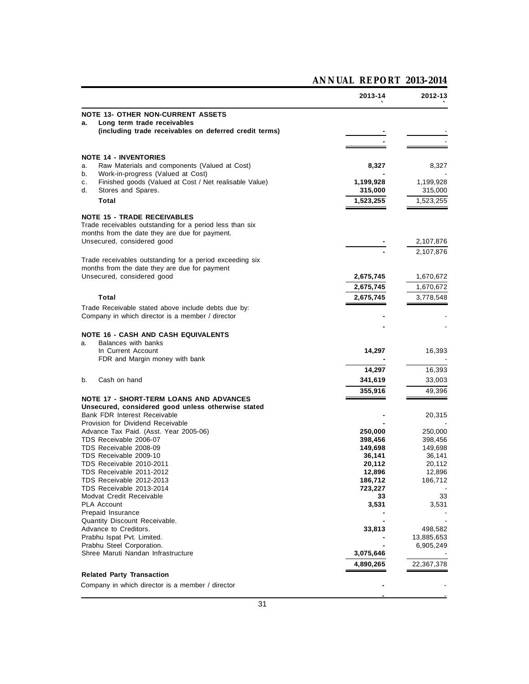**-** -

|    |                                                                                       | 2013-14            | 2012-13            |
|----|---------------------------------------------------------------------------------------|--------------------|--------------------|
|    | <b>NOTE 13- OTHER NON-CURRENT ASSETS</b>                                              |                    |                    |
| a. | Long term trade receivables<br>(including trade receivables on deferred credit terms) |                    |                    |
|    |                                                                                       |                    |                    |
|    |                                                                                       |                    |                    |
|    | <b>NOTE 14 - INVENTORIES</b>                                                          |                    |                    |
| a. | Raw Materials and components (Valued at Cost)                                         | 8,327              | 8,327              |
| b. | Work-in-progress (Valued at Cost)                                                     |                    |                    |
| С. | Finished goods (Valued at Cost / Net realisable Value)                                | 1,199,928          | 1,199,928          |
| d. | Stores and Spares.                                                                    | 315,000            | 315,000            |
|    | Total                                                                                 | 1,523,255          | 1,523,255          |
|    | <b>NOTE 15 - TRADE RECEIVABLES</b>                                                    |                    |                    |
|    | Trade receivables outstanding for a period less than six                              |                    |                    |
|    | months from the date they are due for payment.                                        |                    |                    |
|    | Unsecured, considered good                                                            |                    | 2,107,876          |
|    |                                                                                       |                    | 2,107,876          |
|    | Trade receivables outstanding for a period exceeding six                              |                    |                    |
|    | months from the date they are due for payment                                         |                    |                    |
|    | Unsecured, considered good                                                            | 2,675,745          | 1,670,672          |
|    |                                                                                       | 2,675,745          | 1,670,672          |
|    | Total                                                                                 | 2,675,745          | 3,778,548          |
|    | Trade Receivable stated above include debts due by:                                   |                    |                    |
|    | Company in which director is a member / director                                      |                    |                    |
|    |                                                                                       |                    |                    |
|    | <b>NOTE 16 - CASH AND CASH EQUIVALENTS</b>                                            |                    |                    |
| a. | Balances with banks<br>In Current Account                                             | 14,297             | 16,393             |
|    | FDR and Margin money with bank                                                        |                    |                    |
|    |                                                                                       | 14,297             | 16,393             |
| b. | Cash on hand                                                                          | 341,619            | 33,003             |
|    |                                                                                       |                    |                    |
|    | <b>NOTE 17 - SHORT-TERM LOANS AND ADVANCES</b>                                        | 355,916            | 49,396             |
|    | Unsecured, considered good unless otherwise stated                                    |                    |                    |
|    | Bank FDR Interest Receivable                                                          |                    | 20,315             |
|    | Provision for Dividend Receivable                                                     |                    |                    |
|    | Advance Tax Paid. (Asst. Year 2005-06)                                                | 250,000            | 250,000            |
|    | TDS Receivable 2006-07<br>TDS Receivable 2008-09                                      | 398,456<br>149,698 | 398,456<br>149,698 |
|    | TDS Receivable 2009-10                                                                | 36,141             | 36,141             |
|    | TDS Receivable 2010-2011                                                              | 20,112             | 20,112             |
|    | TDS Receivable 2011-2012                                                              | 12,896             | 12,896             |
|    | TDS Receivable 2012-2013                                                              | 186,712            | 186,712            |
|    | TDS Receivable 2013-2014                                                              | 723,227            |                    |
|    | Modvat Credit Receivable<br><b>PLA Account</b>                                        | 33<br>3,531        | 33<br>3,531        |
|    | Prepaid Insurance                                                                     |                    |                    |
|    | Quantity Discount Receivable.                                                         |                    |                    |
|    | Advance to Creditors.                                                                 | 33,813             | 498,582            |
|    | Prabhu Ispat Pvt. Limited.                                                            |                    | 13,885,653         |
|    | Prabhu Steel Corporation.                                                             |                    | 6,905,249          |
|    | Shree Maruti Nandan Infrastructure                                                    | 3,075,646          |                    |
|    |                                                                                       | 4,890,265          | 22,367,378         |
|    | <b>Related Party Transaction</b>                                                      |                    |                    |
|    | Company in which director is a member / director                                      |                    |                    |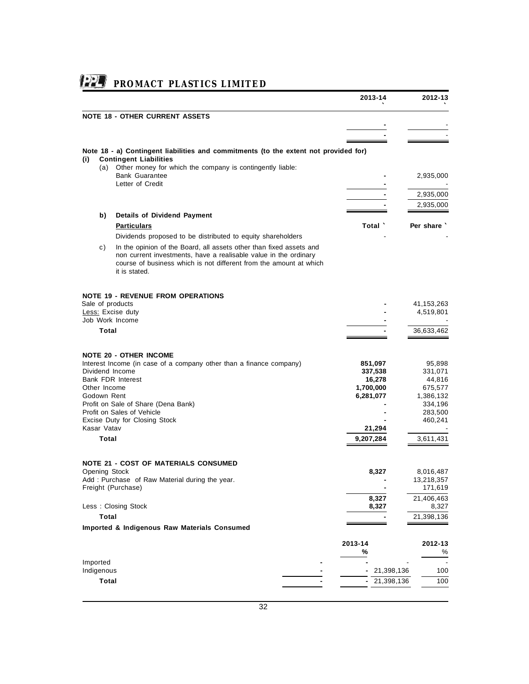|                                      |                                                                                                                                                                                                                                | 2013-14           | 2012-13            |
|--------------------------------------|--------------------------------------------------------------------------------------------------------------------------------------------------------------------------------------------------------------------------------|-------------------|--------------------|
|                                      | <b>NOTE 18 - OTHER CURRENT ASSETS</b>                                                                                                                                                                                          |                   |                    |
|                                      |                                                                                                                                                                                                                                |                   |                    |
|                                      |                                                                                                                                                                                                                                |                   |                    |
|                                      | Note 18 - a) Contingent liabilities and commitments (to the extent not provided for)<br><b>Contingent Liabilities</b>                                                                                                          |                   |                    |
| (i)                                  | (a) Other money for which the company is contingently liable:                                                                                                                                                                  |                   |                    |
|                                      | <b>Bank Guarantee</b>                                                                                                                                                                                                          |                   | 2,935,000          |
|                                      | Letter of Credit                                                                                                                                                                                                               |                   |                    |
|                                      |                                                                                                                                                                                                                                |                   | 2,935,000          |
|                                      |                                                                                                                                                                                                                                |                   | 2,935,000          |
| b)                                   | <b>Details of Dividend Payment</b>                                                                                                                                                                                             |                   |                    |
|                                      | <b>Particulars</b>                                                                                                                                                                                                             | Total             | Per share          |
|                                      | Dividends proposed to be distributed to equity shareholders                                                                                                                                                                    |                   |                    |
| C)                                   | In the opinion of the Board, all assets other than fixed assets and<br>non current investments, have a realisable value in the ordinary<br>course of business which is not different from the amount at which<br>it is stated. |                   |                    |
|                                      | <b>NOTE 19 - REVENUE FROM OPERATIONS</b>                                                                                                                                                                                       |                   |                    |
| Sale of products                     |                                                                                                                                                                                                                                |                   | 41,153,263         |
| Less: Excise duty<br>Job Work Income |                                                                                                                                                                                                                                |                   | 4,519,801          |
| Total                                |                                                                                                                                                                                                                                |                   | 36,633,462         |
|                                      |                                                                                                                                                                                                                                |                   |                    |
|                                      | <b>NOTE 20 - OTHER INCOME</b>                                                                                                                                                                                                  |                   |                    |
|                                      | Interest Income (in case of a company other than a finance company)                                                                                                                                                            | 851,097           | 95,898             |
| Dividend Income                      | <b>Bank FDR Interest</b>                                                                                                                                                                                                       | 337,538<br>16,278 | 331,071<br>44,816  |
| Other Income                         |                                                                                                                                                                                                                                | 1,700,000         | 675,577            |
| Godown Rent                          |                                                                                                                                                                                                                                | 6,281,077         | 1,386,132          |
|                                      | Profit on Sale of Share (Dena Bank)                                                                                                                                                                                            |                   | 334,196            |
|                                      | Profit on Sales of Vehicle<br>Excise Duty for Closing Stock                                                                                                                                                                    |                   | 283,500<br>460,241 |
| Kasar Vatav                          |                                                                                                                                                                                                                                | 21,294            |                    |
| Total                                |                                                                                                                                                                                                                                | 9,207,284         | 3,611,431          |
|                                      |                                                                                                                                                                                                                                |                   |                    |
| <b>Opening Stock</b>                 | <b>NOTE 21 - COST OF MATERIALS CONSUMED</b>                                                                                                                                                                                    | 8,327             | 8,016,487          |
|                                      | Add: Purchase of Raw Material during the year.                                                                                                                                                                                 |                   | 13,218,357         |
|                                      | Freight (Purchase)                                                                                                                                                                                                             |                   | 171,619            |
|                                      |                                                                                                                                                                                                                                | 8,327             | 21,406,463         |
|                                      | Less: Closing Stock                                                                                                                                                                                                            | 8,327             | 8,327              |
| Total                                |                                                                                                                                                                                                                                |                   | 21,398,136         |
|                                      | Imported & Indigenous Raw Materials Consumed                                                                                                                                                                                   |                   |                    |
|                                      |                                                                                                                                                                                                                                | 2013-14           | 2012-13            |
|                                      |                                                                                                                                                                                                                                | %                 | %                  |
| Imported<br>Indigenous               |                                                                                                                                                                                                                                | 21,398,136        | 100                |
|                                      |                                                                                                                                                                                                                                |                   |                    |
| Total                                |                                                                                                                                                                                                                                | 21,398,136        | 100                |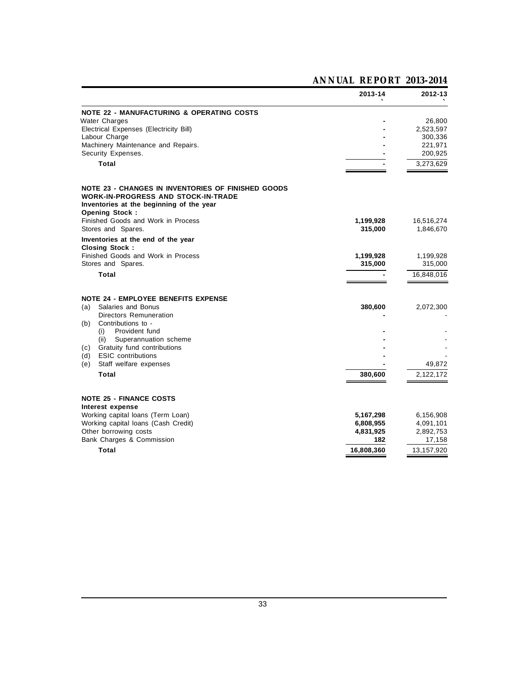|                                                                                                                                                                       | 2013-14    | 2012-13              |
|-----------------------------------------------------------------------------------------------------------------------------------------------------------------------|------------|----------------------|
| NOTE 22 - MANUFACTURING & OPERATING COSTS                                                                                                                             |            |                      |
| <b>Water Charges</b>                                                                                                                                                  |            | 26,800               |
| Electrical Expenses (Electricity Bill)                                                                                                                                |            | 2,523,597            |
| Labour Charge                                                                                                                                                         |            | 300,336              |
| Machinery Maintenance and Repairs.                                                                                                                                    |            | 221,971              |
| Security Expenses.                                                                                                                                                    |            | 200,925              |
| Total                                                                                                                                                                 |            | 3,273,629            |
| NOTE 23 - CHANGES IN INVENTORIES OF FINISHED GOODS<br><b>WORK-IN-PROGRESS AND STOCK-IN-TRADE</b><br>Inventories at the beginning of the year<br><b>Opening Stock:</b> |            |                      |
| Finished Goods and Work in Process                                                                                                                                    | 1,199,928  | 16,516,274           |
| Stores and Spares.                                                                                                                                                    | 315,000    | 1,846,670            |
| Inventories at the end of the year                                                                                                                                    |            |                      |
| <b>Closing Stock:</b><br>Finished Goods and Work in Process                                                                                                           | 1,199,928  |                      |
| Stores and Spares.                                                                                                                                                    | 315,000    | 1,199,928<br>315,000 |
| Total                                                                                                                                                                 |            | 16,848,016           |
|                                                                                                                                                                       |            |                      |
| <b>NOTE 24 - EMPLOYEE BENEFITS EXPENSE</b>                                                                                                                            |            |                      |
| Salaries and Bonus<br>(a)                                                                                                                                             | 380,600    | 2,072,300            |
| Directors Remuneration                                                                                                                                                |            |                      |
| Contributions to -<br>(b)                                                                                                                                             |            |                      |
| Provident fund<br>(i)                                                                                                                                                 |            |                      |
| Superannuation scheme<br>(ii)                                                                                                                                         |            |                      |
| Gratuity fund contributions<br>(c)                                                                                                                                    |            |                      |
| <b>ESIC</b> contributions<br>(d)<br>Staff welfare expenses                                                                                                            |            | 49,872               |
| (e)                                                                                                                                                                   |            |                      |
| Total                                                                                                                                                                 | 380,600    | 2,122,172            |
| <b>NOTE 25 - FINANCE COSTS</b>                                                                                                                                        |            |                      |
| Interest expense                                                                                                                                                      |            |                      |
| Working capital loans (Term Loan)                                                                                                                                     | 5,167,298  | 6,156,908            |
| Working capital loans (Cash Credit)                                                                                                                                   | 6,808,955  | 4,091,101            |
| Other borrowing costs                                                                                                                                                 | 4,831,925  | 2,892,753            |
| Bank Charges & Commission                                                                                                                                             | 182        | 17,158               |
| Total                                                                                                                                                                 | 16,808,360 | 13,157,920           |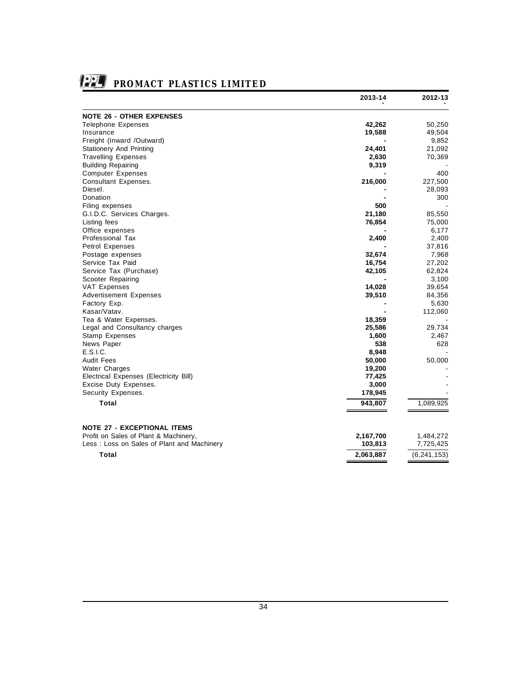

|                                            | 2013-14   | 2012-13       |
|--------------------------------------------|-----------|---------------|
| <b>NOTE 26 - OTHER EXPENSES</b>            |           |               |
| Telephone Expenses                         | 42,262    | 50,250        |
| Insurance                                  | 19,588    | 49,504        |
| Freight (Inward /Outward)                  |           | 9,852         |
| <b>Stationery And Printing</b>             | 24,401    | 21,092        |
| Travelling Expenses                        | 2,630     | 70,369        |
| <b>Building Repairing</b>                  | 9,319     |               |
| <b>Computer Expenses</b>                   |           | 400           |
| Consultant Expenses.                       | 216,000   | 227,500       |
| Diesel.                                    |           | 28,093        |
| Donation                                   |           | 300           |
| Filing expenses                            | 500       |               |
| G.I.D.C. Services Charges.                 | 21,180    | 85,550        |
| Listing fees                               | 76,854    | 75,000        |
| Office expenses                            |           | 6,177         |
| Professional Tax                           | 2,400     | 2,400         |
| Petrol Expenses                            |           | 37,816        |
| Postage expenses                           | 32,674    | 7,968         |
| Service Tax Paid                           | 16,754    | 27,202        |
| Service Tax (Purchase)                     | 42,105    | 62,824        |
| Scooter Repairing                          |           | 3,100         |
| VAT Expenses                               | 14,028    | 39,654        |
| <b>Advertisement Expenses</b>              | 39,510    | 84,356        |
| Factory Exp.                               |           | 5,630         |
| Kasar/Vatav.                               |           | 112,060       |
| Tea & Water Expenses.                      | 18,359    |               |
| Legal and Consultancy charges              | 25,586    | 29,734        |
| Stamp Expenses                             | 1,600     | 2,467         |
| News Paper                                 | 538       | 628           |
| E.S.I.C.                                   | 8,948     |               |
| <b>Audit Fees</b>                          | 50,000    | 50,000        |
| Water Charges                              | 19,200    |               |
| Electrical Expenses (Electricity Bill)     | 77,425    |               |
| Excise Duty Expenses.                      | 3,000     |               |
| Security Expenses.                         | 178,945   |               |
|                                            |           |               |
| Total                                      | 943,807   | 1,089,925     |
| <b>NOTE 27 - EXCEPTIONAL ITEMS</b>         |           |               |
| Profit on Sales of Plant & Machinery,      | 2,167,700 | 1,484,272     |
| Less: Loss on Sales of Plant and Machinery | 103,813   | 7,725,425     |
| Total                                      | 2,063,887 | (6, 241, 153) |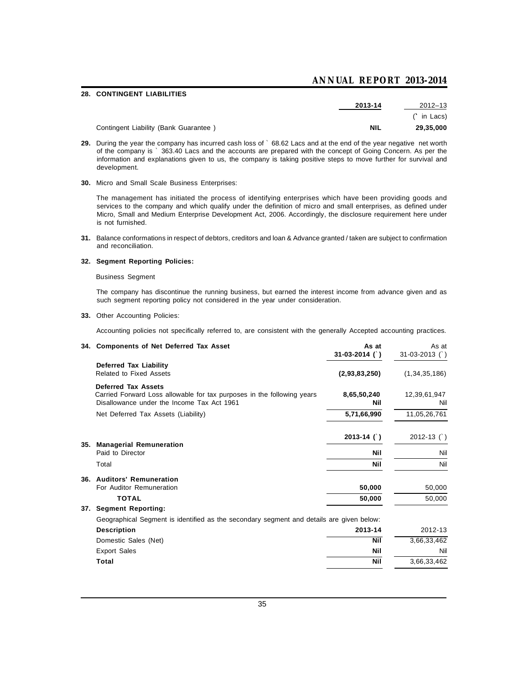| <b>28. CONTINGENT LIABILITIES</b>     |            |             |
|---------------------------------------|------------|-------------|
|                                       | 2013-14    | 2012-13     |
|                                       |            | (` in Lacs) |
| Contingent Liability (Bank Guarantee) | <b>NIL</b> | 29,35,000   |

- **29.** During the year the company has incurred cash loss of ` 68.62 Lacs and at the end of the year negative net worth of the company is ` 363.40 Lacs and the accounts are prepared with the concept of Going Concern. As per the information and explanations given to us, the company is taking positive steps to move further for survival and development.
- **30.** Micro and Small Scale Business Enterprises:

The management has initiated the process of identifying enterprises which have been providing goods and services to the company and which qualify under the definition of micro and small enterprises, as defined under Micro, Small and Medium Enterprise Development Act, 2006. Accordingly, the disclosure requirement here under is not furnished.

**31.** Balance conformations in respect of debtors, creditors and loan & Advance granted / taken are subject to confirmation and reconciliation.

### **32. Segment Reporting Policies:**

Business Segment

The company has discontinue the running business, but earned the interest income from advance given and as such segment reporting policy not considered in the year under consideration.

### **33.** Other Accounting Policies:

Accounting policies not specifically referred to, are consistent with the generally Accepted accounting practices.

|     | 34. Components of Net Deferred Tax Asset                                                                                                           | As at<br>$31 - 03 - 2014$ () | As at<br>$31-03-2013$ (1) |
|-----|----------------------------------------------------------------------------------------------------------------------------------------------------|------------------------------|---------------------------|
|     | <b>Deferred Tax Liability</b><br>Related to Fixed Assets                                                                                           | (2,93,83,250)                | (1, 34, 35, 186)          |
|     | <b>Deferred Tax Assets</b><br>Carried Forward Loss allowable for tax purposes in the following years<br>Disallowance under the Income Tax Act 1961 | 8,65,50,240<br>Nil           | 12,39,61,947<br>Nil       |
|     | Net Deferred Tax Assets (Liability)                                                                                                                | 5,71,66,990                  | 11,05,26,761              |
|     | 35. Managerial Remuneration                                                                                                                        | $2013 - 14$ ()               | $2012 - 13$ ()            |
|     | Paid to Director                                                                                                                                   | Nil                          | Nil                       |
|     | Total                                                                                                                                              | Nil                          | Nil                       |
|     | 36. Auditors' Remuneration<br>For Auditor Remuneration                                                                                             | 50,000                       | 50,000                    |
|     | <b>TOTAL</b>                                                                                                                                       | 50,000                       | 50,000                    |
| 37. | <b>Segment Reporting:</b><br>Geographical Segment is identified as the secondary segment and details are given below:                              |                              |                           |
|     | <b>Description</b>                                                                                                                                 | 2013-14                      | 2012-13                   |
|     | Domestic Sales (Net)                                                                                                                               | Nil                          | 3,66,33,462               |
|     | <b>Export Sales</b>                                                                                                                                | Nil                          | Nil                       |
|     | Total                                                                                                                                              | Nil                          | 3,66,33,462               |
|     |                                                                                                                                                    |                              |                           |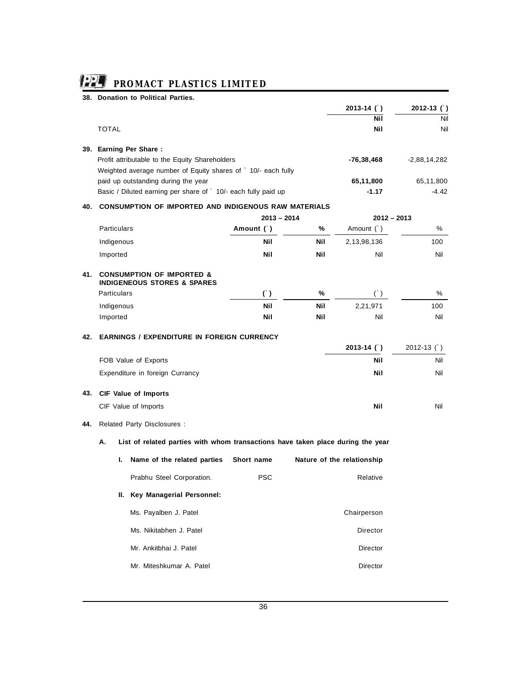| 38. Donation to Political Parties.                             |                |                |
|----------------------------------------------------------------|----------------|----------------|
|                                                                | $2013 - 14$ () | $2012 - 13$ () |
|                                                                | Nil            | Nil            |
| <b>TOTAL</b>                                                   | Nil            | Nil            |
| 39. Earning Per Share:                                         |                |                |
| Profit attributable to the Equity Shareholders                 | $-76, 38, 468$ | -2,88,14,282   |
| Weighted average number of Equity shares of 10/- each fully    |                |                |
| paid up outstanding during the year                            | 65,11,800      | 65,11,800      |
| Basic / Diluted earning per share of ` 10/- each fully paid up | $-1.17$        | $-4.42$        |

### **40. CONSUMPTION OF IMPORTED AND INDIGENOUS RAW MATERIALS**

|     |                                                                                | $2013 - 2014$ |     | $2012 - 2013$ |      |
|-----|--------------------------------------------------------------------------------|---------------|-----|---------------|------|
|     | Particulars                                                                    | Amount $( )$  | %   | Amount $($ )  | %    |
|     | Indigenous                                                                     | Nil           | Nil | 2,13,98,136   | 100  |
|     | Imported                                                                       | Nil           | Nil | Nil           | Nil  |
| 41. | <b>CONSUMPTION OF IMPORTED &amp;</b><br><b>INDIGENEOUS STORES &amp; SPARES</b> |               |     |               |      |
|     | Particulars                                                                    | $(\cdot)$     | %   | $($ )         | $\%$ |
|     | Indigenous                                                                     | Nil           | Nil | 2,21,971      | 100  |
|     | Imported                                                                       | Nil           | Nil | Nil           | Nil  |
| 42. | <b>EARNINGS / EXPENDITURE IN FOREIGN CURRENCY</b>                              |               |     |               |      |

|                                 | $2013 - 14$ ( ) | 2012-13 (`) |
|---------------------------------|-----------------|-------------|
| FOB Value of Exports            | Nil             | Nil         |
| Expenditure in foreign Currancy | Nil             | Nil         |

### **43. CIF Value of Imports**

CIF Value of Imports **Nil** Nil

### **44.** Related Party Disclosures :

### **A. List of related parties with whom transactions have taken place during the year**

| I.    | Name of the related parties      | Short name | Nature of the relationship |  |
|-------|----------------------------------|------------|----------------------------|--|
|       | Prabhu Steel Corporation.        | <b>PSC</b> | Relative                   |  |
| II. – | <b>Key Managerial Personnel:</b> |            |                            |  |
|       | Ms. Payalben J. Patel            |            | Chairperson                |  |
|       | Ms. Nikitabhen J. Patel          |            | Director                   |  |
|       | Mr. Ankitbhai J. Patel           |            | Director                   |  |
|       | Mr. Miteshkumar A. Patel         |            | Director                   |  |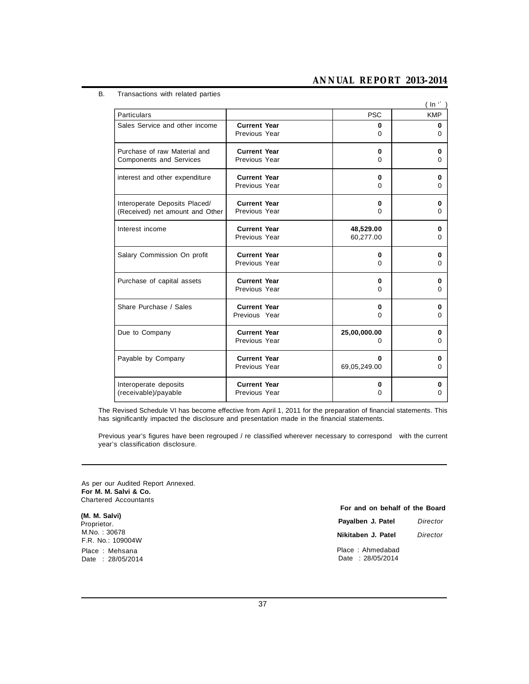|                                 |                     |              | $(\ln \degree)$ |
|---------------------------------|---------------------|--------------|-----------------|
| Particulars                     |                     | <b>PSC</b>   | <b>KMP</b>      |
| Sales Service and other income  | <b>Current Year</b> | 0            |                 |
|                                 | Previous Year       | $\Omega$     |                 |
| Purchase of raw Material and    | <b>Current Year</b> | 0            |                 |
| Components and Services         | Previous Year       | $\Omega$     |                 |
| interest and other expenditure  | <b>Current Year</b> | 0            |                 |
|                                 | Previous Year       | 0            |                 |
| Interoperate Deposits Placed/   | <b>Current Year</b> | 0            |                 |
| (Received) net amount and Other | Previous Year       | 0            |                 |
| Interest income                 | <b>Current Year</b> | 48,529.00    |                 |
|                                 | Previous Year       | 60,277.00    |                 |
| Salary Commission On profit     | <b>Current Year</b> | 0            |                 |
|                                 | Previous Year       | 0            |                 |
| Purchase of capital assets      | <b>Current Year</b> | 0            |                 |
|                                 | Previous Year       | 0            |                 |
| Share Purchase / Sales          | <b>Current Year</b> | 0            |                 |
|                                 | Previous Year       | 0            |                 |
| Due to Company                  | <b>Current Year</b> | 25,00,000.00 |                 |
|                                 | Previous Year       | 0            |                 |
| Payable by Company              | <b>Current Year</b> | 0            |                 |
|                                 | Previous Year       | 69,05,249.00 |                 |
| Interoperate deposits           | <b>Current Year</b> | 0            |                 |
| (receivable)/payable            | Previous Year       | 0            |                 |

The Revised Schedule VI has become effective from April 1, 2011 for the preparation of financial statements. This has significantly impacted the disclosure and presentation made in the financial statements.

Previous year's figures have been regrouped / re classified wherever necessary to correspond with the current year's classification disclosure.

As per our Audited Report Annexed. **For M. M. Salvi & Co.** Chartered Accountants

**(M. M. Salvi)** Proprietor. M.No. : 30678 F.R. No.: 109004W Place : Mehsana Date : 28/05/2014 **For and on behalf of the Board**

**Nikitaben J. Patel** Director

Place : Ahmedabad Date : 28/05/2014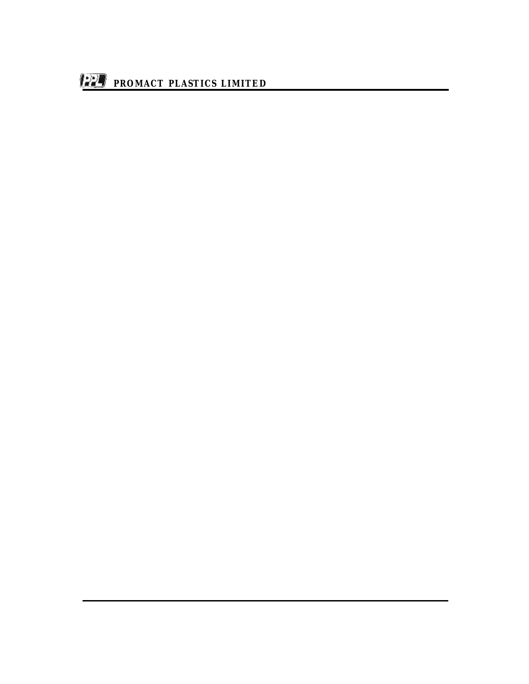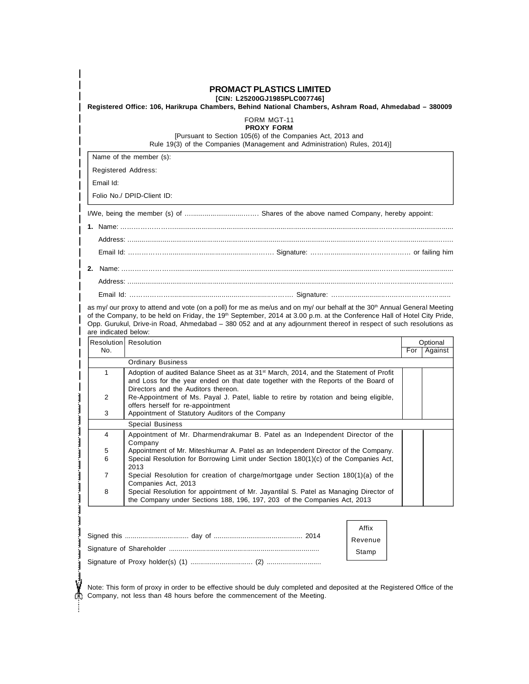|                      | FORM MGT-11<br><b>PROXY FORM</b><br>[Pursuant to Section 105(6) of the Companies Act, 2013 and<br>Rule 19(3) of the Companies (Management and Administration) Rules, 2014)]                                                                                                                                                                                   |                  |     |          |
|----------------------|---------------------------------------------------------------------------------------------------------------------------------------------------------------------------------------------------------------------------------------------------------------------------------------------------------------------------------------------------------------|------------------|-----|----------|
|                      | Name of the member (s):                                                                                                                                                                                                                                                                                                                                       |                  |     |          |
|                      | Registered Address:                                                                                                                                                                                                                                                                                                                                           |                  |     |          |
| Email Id:            |                                                                                                                                                                                                                                                                                                                                                               |                  |     |          |
|                      | Folio No./ DPID-Client ID:                                                                                                                                                                                                                                                                                                                                    |                  |     |          |
|                      |                                                                                                                                                                                                                                                                                                                                                               |                  |     |          |
|                      |                                                                                                                                                                                                                                                                                                                                                               |                  |     |          |
|                      |                                                                                                                                                                                                                                                                                                                                                               |                  |     |          |
|                      |                                                                                                                                                                                                                                                                                                                                                               |                  |     |          |
|                      |                                                                                                                                                                                                                                                                                                                                                               |                  |     |          |
|                      |                                                                                                                                                                                                                                                                                                                                                               |                  |     |          |
|                      |                                                                                                                                                                                                                                                                                                                                                               |                  |     |          |
|                      |                                                                                                                                                                                                                                                                                                                                                               |                  |     |          |
|                      | as my/ our proxy to attend and vote (on a poll) for me as me/us and on my/ our behalf at the 30 <sup>th</sup> Annual General Meeting<br>of the Company, to be held on Friday, the 19 <sup>th</sup> September, 2014 at 3.00 p.m. at the Conference Hall of Hotel City Pride,                                                                                   |                  |     |          |
| are indicated below: | Opp. Gurukul, Drive-in Road, Ahmedabad - 380 052 and at any adjournment thereof in respect of such resolutions as<br>Resolution Resolution                                                                                                                                                                                                                    |                  |     | Optional |
| No.                  | <b>Ordinary Business</b>                                                                                                                                                                                                                                                                                                                                      |                  | For |          |
| 1<br>2               | Adoption of audited Balance Sheet as at 31 <sup>st</sup> March, 2014, and the Statement of Profit<br>and Loss for the year ended on that date together with the Reports of the Board of<br>Directors and the Auditors thereon.<br>Re-Appointment of Ms. Payal J. Patel, liable to retire by rotation and being eligible,<br>offers herself for re-appointment |                  |     |          |
| 3                    | Appointment of Statutory Auditors of the Company                                                                                                                                                                                                                                                                                                              |                  |     | Against  |
| 4                    | <b>Special Business</b><br>Appointment of Mr. Dharmendrakumar B. Patel as an Independent Director of the                                                                                                                                                                                                                                                      |                  |     |          |
|                      | Company                                                                                                                                                                                                                                                                                                                                                       |                  |     |          |
| 5<br>6               | Appointment of Mr. Miteshkumar A. Patel as an Independent Director of the Company.<br>Special Resolution for Borrowing Limit under Section 180(1)(c) of the Companies Act,<br>2013                                                                                                                                                                            |                  |     |          |
| 7                    | Special Resolution for creation of charge/mortgage under Section 180(1)(a) of the                                                                                                                                                                                                                                                                             |                  |     |          |
| 8                    | Companies Act, 2013<br>Special Resolution for appointment of Mr. Jayantilal S. Patel as Managing Director of<br>the Company under Sections 188, 196, 197, 203 of the Companies Act, 2013                                                                                                                                                                      |                  |     |          |
|                      |                                                                                                                                                                                                                                                                                                                                                               |                  |     |          |
|                      |                                                                                                                                                                                                                                                                                                                                                               | Affix            |     |          |
|                      |                                                                                                                                                                                                                                                                                                                                                               | Revenue<br>Stamp |     |          |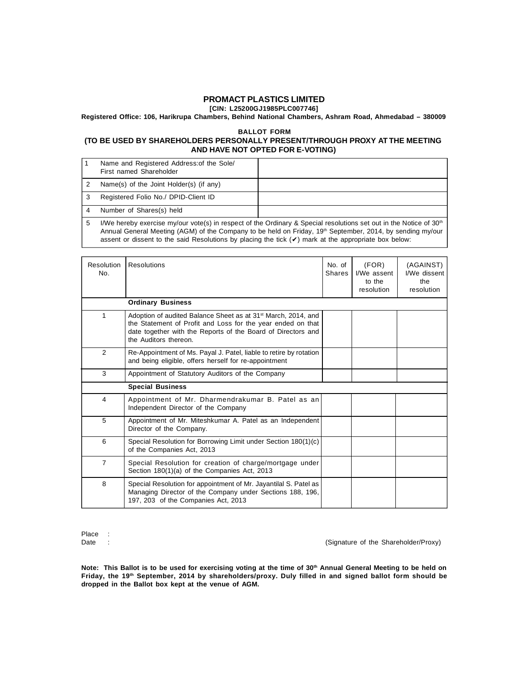**[CIN: L25200GJ1985PLC007746]**

**Registered Office: 106, Harikrupa Chambers, Behind National Chambers, Ashram Road, Ahmedabad – 380009**

**BALLOT FORM**

### **(TO BE USED BY SHAREHOLDERS PERSONALLY PRESENT/THROUGH PROXY AT THE MEETING AND HAVE NOT OPTED FOR E-VOTING)**

|   | Name and Registered Address of the Sole/<br>First named Shareholder                                                                                                                                                            |  |  |  |
|---|--------------------------------------------------------------------------------------------------------------------------------------------------------------------------------------------------------------------------------|--|--|--|
|   | Name(s) of the Joint Holder(s) (if any)                                                                                                                                                                                        |  |  |  |
|   | Registered Folio No./ DPID-Client ID                                                                                                                                                                                           |  |  |  |
|   | Number of Shares(s) held                                                                                                                                                                                                       |  |  |  |
| 5 | I/We hereby exercise my/our vote(s) in respect of the Ordinary & Special resolutions set out in the Notice of $30th$<br>Annual General Meeting (AGM) of the Company to be held on Friday 19th Sentember 2014 by sending my/our |  |  |  |

Annual General Meeting (AGM) of the Company to be held on Friday, 19<sup>th</sup> September, 2014, by sending my/our assent or dissent to the said Resolutions by placing the tick  $(V)$  mark at the appropriate box below:

| Resolution<br>No. | <b>Resolutions</b>                                                                                                                                                                                                                | No. of<br><b>Shares</b> | (FOR)<br>I/We assent<br>to the<br>resolution | (AGAINST)<br>I/We dissent<br>the<br>resolution |
|-------------------|-----------------------------------------------------------------------------------------------------------------------------------------------------------------------------------------------------------------------------------|-------------------------|----------------------------------------------|------------------------------------------------|
|                   | <b>Ordinary Business</b>                                                                                                                                                                                                          |                         |                                              |                                                |
| $\mathbf{1}$      | Adoption of audited Balance Sheet as at 31 <sup>st</sup> March, 2014, and<br>the Statement of Profit and Loss for the year ended on that<br>date together with the Reports of the Board of Directors and<br>the Auditors thereon. |                         |                                              |                                                |
| $\mathfrak{p}$    | Re-Appointment of Ms. Payal J. Patel, liable to retire by rotation<br>and being eligible, offers herself for re-appointment                                                                                                       |                         |                                              |                                                |
| 3                 | Appointment of Statutory Auditors of the Company                                                                                                                                                                                  |                         |                                              |                                                |
|                   | <b>Special Business</b>                                                                                                                                                                                                           |                         |                                              |                                                |
| 4                 | Appointment of Mr. Dharmendrakumar B. Patel as an<br>Independent Director of the Company                                                                                                                                          |                         |                                              |                                                |
| 5                 | Appointment of Mr. Miteshkumar A. Patel as an Independent<br>Director of the Company.                                                                                                                                             |                         |                                              |                                                |
| 6                 | Special Resolution for Borrowing Limit under Section 180(1)(c)<br>of the Companies Act, 2013                                                                                                                                      |                         |                                              |                                                |
| $\overline{7}$    | Special Resolution for creation of charge/mortgage under<br>Section 180(1)(a) of the Companies Act, 2013                                                                                                                          |                         |                                              |                                                |
| 8                 | Special Resolution for appointment of Mr. Jayantilal S. Patel as<br>Managing Director of the Company under Sections 188, 196,<br>197, 203 of the Companies Act, 2013                                                              |                         |                                              |                                                |

Place :

Date : (Signature of the Shareholder/Proxy)

**Not th e: This Ballot is to be used for exercising voting at the time of 30 Annual General Meeting to be held on th Friday, the 19 September, 2014 by shareholders/proxy. Duly filled in and signed ballot form should be dropped in the Ballot box kept at the venue of AGM.**